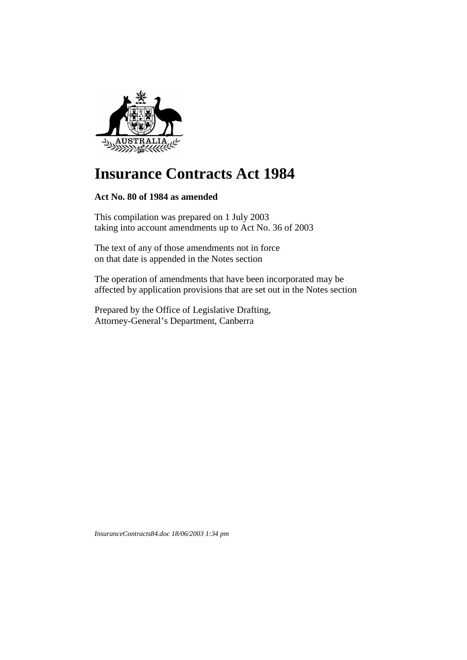

# **Insurance Contracts Act 1984**

# **Act No. 80 of 1984 as amended**

This compilation was prepared on 1 July 2003 taking into account amendments up to Act No. 36 of 2003

The text of any of those amendments not in force on that date is appended in the Notes section

The operation of amendments that have been incorporated may be affected by application provisions that are set out in the Notes section

Prepared by the Office of Legislative Drafting, Attorney-General's Department, Canberra

*InsuranceContracts84.doc 18/06/2003 1:34 pm*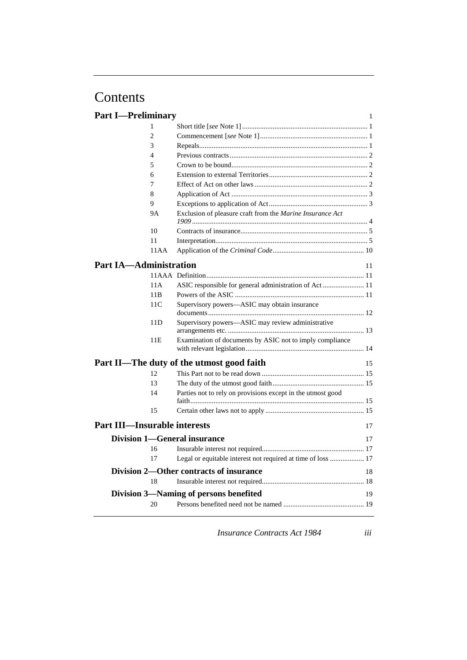# Contents

| <b>Part I-Preliminary</b>           |                                                              | 1  |
|-------------------------------------|--------------------------------------------------------------|----|
| 1                                   |                                                              |    |
| 2                                   |                                                              |    |
| 3                                   |                                                              |    |
| $\overline{4}$                      |                                                              |    |
| 5                                   |                                                              |    |
| 6                                   |                                                              |    |
| 7                                   |                                                              |    |
| 8                                   |                                                              |    |
| 9                                   |                                                              |    |
| <b>9A</b>                           | Exclusion of pleasure craft from the Marine Insurance Act    |    |
| 10                                  |                                                              |    |
| 11                                  |                                                              |    |
| 11AA                                |                                                              |    |
| <b>Part IA-Administration</b>       |                                                              | 11 |
|                                     |                                                              |    |
| 11A                                 | ASIC responsible for general administration of Act  11       |    |
| 11B                                 |                                                              |    |
| 11C                                 | Supervisory powers-ASIC may obtain insurance                 |    |
| 11D                                 | Supervisory powers-ASIC may review administrative            |    |
| 11E                                 | Examination of documents by ASIC not to imply compliance     |    |
|                                     | Part II—The duty of the utmost good faith                    | 15 |
| 12                                  |                                                              |    |
| 13                                  |                                                              |    |
| 14                                  | Parties not to rely on provisions except in the utmost good  |    |
| 15                                  |                                                              |    |
| <b>Part III—Insurable interests</b> |                                                              | 17 |
|                                     | Division 1—General insurance                                 | 17 |
| 16                                  |                                                              |    |
| 17                                  | Legal or equitable interest not required at time of loss  17 |    |
|                                     | Division 2—Other contracts of insurance                      | 18 |
| 18                                  |                                                              |    |
|                                     | Division 3—Naming of persons benefited                       | 19 |
| 20                                  |                                                              |    |

*Insurance Contracts Act 1984 iii*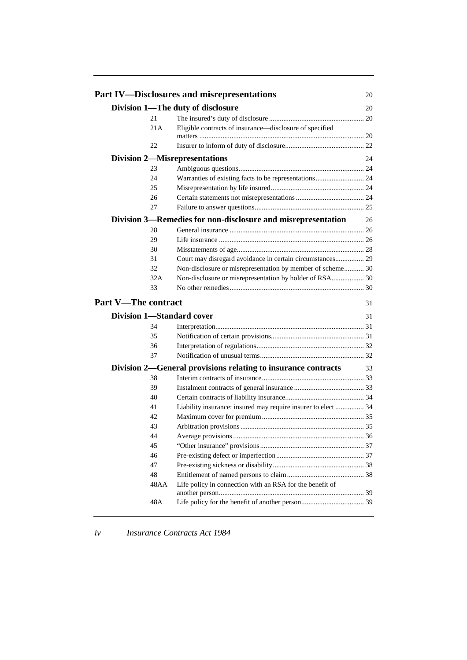|                                   |             | <b>Part IV-Disclosures and misrepresentations</b>             | 20 |  |
|-----------------------------------|-------------|---------------------------------------------------------------|----|--|
| Division 1-The duty of disclosure |             |                                                               |    |  |
|                                   | 21          |                                                               |    |  |
|                                   | 21A         | Eligible contracts of insurance-disclosure of specified       |    |  |
|                                   |             |                                                               |    |  |
|                                   | 22          |                                                               |    |  |
|                                   |             | <b>Division 2-Misrepresentations</b>                          | 24 |  |
|                                   | 23          |                                                               |    |  |
|                                   | 24          | Warranties of existing facts to be representations 24         |    |  |
|                                   | 25          |                                                               |    |  |
|                                   | 26          |                                                               |    |  |
|                                   | 27          |                                                               |    |  |
|                                   |             | Division 3-Remedies for non-disclosure and misrepresentation  | 26 |  |
|                                   | 28          |                                                               |    |  |
|                                   | 29          |                                                               |    |  |
|                                   | 30          |                                                               |    |  |
|                                   | 31          | Court may disregard avoidance in certain circumstances 29     |    |  |
|                                   | 32          | Non-disclosure or misrepresentation by member of scheme 30    |    |  |
|                                   | 32A         | Non-disclosure or misrepresentation by holder of RSA 30       |    |  |
|                                   | 33          |                                                               |    |  |
| <b>Part V-The contract</b>        |             |                                                               | 31 |  |
|                                   |             | <b>Division 1-Standard cover</b>                              | 31 |  |
|                                   | 34          |                                                               |    |  |
|                                   | 35          |                                                               |    |  |
|                                   | 36          |                                                               |    |  |
|                                   | 37          |                                                               |    |  |
|                                   |             | Division 2—General provisions relating to insurance contracts | 33 |  |
|                                   | 38          |                                                               |    |  |
|                                   | 39          |                                                               |    |  |
|                                   | 40          |                                                               |    |  |
|                                   | 41          | Liability insurance: insured may require insurer to elect  34 |    |  |
|                                   | 42          |                                                               |    |  |
|                                   | 43          |                                                               |    |  |
|                                   | 44          |                                                               |    |  |
|                                   | 45          |                                                               |    |  |
|                                   | 46          |                                                               |    |  |
|                                   | 47          |                                                               |    |  |
|                                   | 48          |                                                               |    |  |
|                                   | <b>48AA</b> | Life policy in connection with an RSA for the benefit of      |    |  |
|                                   |             |                                                               |    |  |
|                                   | 48A         |                                                               |    |  |
|                                   |             |                                                               |    |  |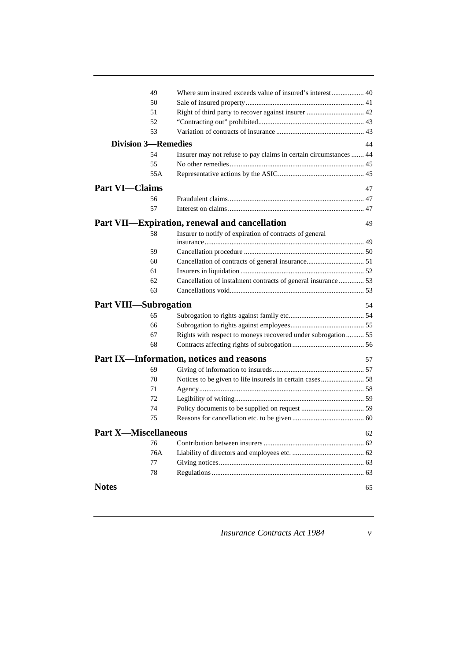|                             | 49                           |                                                                   |    |
|-----------------------------|------------------------------|-------------------------------------------------------------------|----|
|                             | 50                           |                                                                   |    |
|                             | 51                           |                                                                   |    |
|                             | 52                           |                                                                   |    |
|                             | 53                           |                                                                   |    |
| <b>Division 3-Remedies</b>  |                              |                                                                   | 44 |
|                             | 54                           | Insurer may not refuse to pay claims in certain circumstances  44 |    |
|                             | 55                           |                                                                   |    |
|                             | 55A                          |                                                                   |    |
| <b>Part VI-Claims</b>       |                              |                                                                   | 47 |
|                             | 56                           |                                                                   |    |
|                             | 57                           |                                                                   |    |
|                             |                              | <b>Part VII—Expiration, renewal and cancellation</b>              | 49 |
|                             | 58                           | Insurer to notify of expiration of contracts of general           |    |
|                             |                              |                                                                   |    |
|                             | 59                           |                                                                   |    |
|                             | 60                           |                                                                   |    |
|                             | 61                           |                                                                   |    |
|                             | 62                           | Cancellation of instalment contracts of general insurance  53     |    |
|                             | 63                           |                                                                   |    |
|                             | <b>Part VIII-Subrogation</b> |                                                                   |    |
|                             | 65                           |                                                                   |    |
|                             | 66                           |                                                                   |    |
|                             | 67                           | Rights with respect to moneys recovered under subrogation 55      |    |
|                             | 68                           |                                                                   |    |
|                             |                              | Part IX—Information, notices and reasons                          | 57 |
|                             | 69                           |                                                                   |    |
|                             | 70                           |                                                                   |    |
|                             | 71                           |                                                                   |    |
|                             | 72                           |                                                                   |    |
|                             | 74                           |                                                                   |    |
|                             | 75                           |                                                                   |    |
| <b>Part X-Miscellaneous</b> |                              |                                                                   | 62 |
|                             | 76                           |                                                                   |    |
|                             | 76A                          |                                                                   |    |
|                             | 77                           |                                                                   |    |
|                             | 78                           |                                                                   |    |
| <b>Notes</b>                |                              |                                                                   | 65 |

*Insurance Contracts Act 1984 v*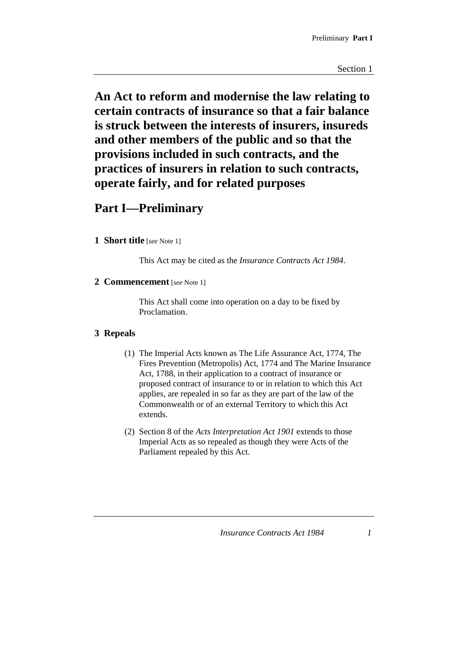**An Act to reform and modernise the law relating to certain contracts of insurance so that a fair balance is struck between the interests of insurers, insureds and other members of the public and so that the provisions included in such contracts, and the practices of insurers in relation to such contracts, operate fairly, and for related purposes** 

# **Part I—Preliminary**

**1 Short title** [*see* Note 1]

This Act may be cited as the *Insurance Contracts Act 1984*.

**2 Commencement** [*see* Note 1]

 This Act shall come into operation on a day to be fixed by Proclamation.

# **3 Repeals**

- (1) The Imperial Acts known as The Life Assurance Act, 1774, The Fires Prevention (Metropolis) Act, 1774 and The Marine Insurance Act, 1788, in their application to a contract of insurance or proposed contract of insurance to or in relation to which this Act applies, are repealed in so far as they are part of the law of the Commonwealth or of an external Territory to which this Act extends.
- (2) Section 8 of the *Acts Interpretation Act 1901* extends to those Imperial Acts as so repealed as though they were Acts of the Parliament repealed by this Act.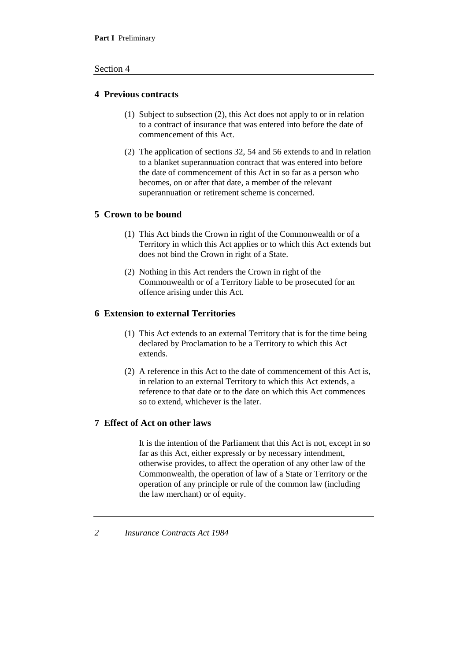# **4 Previous contracts**

- (1) Subject to subsection (2), this Act does not apply to or in relation to a contract of insurance that was entered into before the date of commencement of this Act.
- (2) The application of sections 32, 54 and 56 extends to and in relation to a blanket superannuation contract that was entered into before the date of commencement of this Act in so far as a person who becomes, on or after that date, a member of the relevant superannuation or retirement scheme is concerned.

# **5 Crown to be bound**

- (1) This Act binds the Crown in right of the Commonwealth or of a Territory in which this Act applies or to which this Act extends but does not bind the Crown in right of a State.
- (2) Nothing in this Act renders the Crown in right of the Commonwealth or of a Territory liable to be prosecuted for an offence arising under this Act.

# **6 Extension to external Territories**

- (1) This Act extends to an external Territory that is for the time being declared by Proclamation to be a Territory to which this Act extends.
- (2) A reference in this Act to the date of commencement of this Act is, in relation to an external Territory to which this Act extends, a reference to that date or to the date on which this Act commences so to extend, whichever is the later.

# **7 Effect of Act on other laws**

 It is the intention of the Parliament that this Act is not, except in so far as this Act, either expressly or by necessary intendment, otherwise provides, to affect the operation of any other law of the Commonwealth, the operation of law of a State or Territory or the operation of any principle or rule of the common law (including the law merchant) or of equity.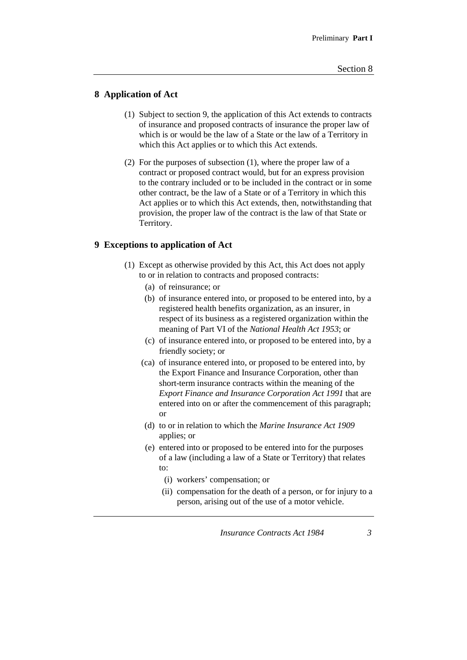#### **8 Application of Act**

- (1) Subject to section 9, the application of this Act extends to contracts of insurance and proposed contracts of insurance the proper law of which is or would be the law of a State or the law of a Territory in which this Act applies or to which this Act extends.
- (2) For the purposes of subsection (1), where the proper law of a contract or proposed contract would, but for an express provision to the contrary included or to be included in the contract or in some other contract, be the law of a State or of a Territory in which this Act applies or to which this Act extends, then, notwithstanding that provision, the proper law of the contract is the law of that State or Territory.

## **9 Exceptions to application of Act**

- (1) Except as otherwise provided by this Act, this Act does not apply to or in relation to contracts and proposed contracts:
	- (a) of reinsurance; or
	- (b) of insurance entered into, or proposed to be entered into, by a registered health benefits organization, as an insurer, in respect of its business as a registered organization within the meaning of Part VI of the *National Health Act 1953*; or
	- (c) of insurance entered into, or proposed to be entered into, by a friendly society; or
	- (ca) of insurance entered into, or proposed to be entered into, by the Export Finance and Insurance Corporation, other than short-term insurance contracts within the meaning of the *Export Finance and Insurance Corporation Act 1991* that are entered into on or after the commencement of this paragraph; or
	- (d) to or in relation to which the *Marine Insurance Act 1909*  applies; or
	- (e) entered into or proposed to be entered into for the purposes of a law (including a law of a State or Territory) that relates to:
		- (i) workers' compensation; or
		- (ii) compensation for the death of a person, or for injury to a person, arising out of the use of a motor vehicle.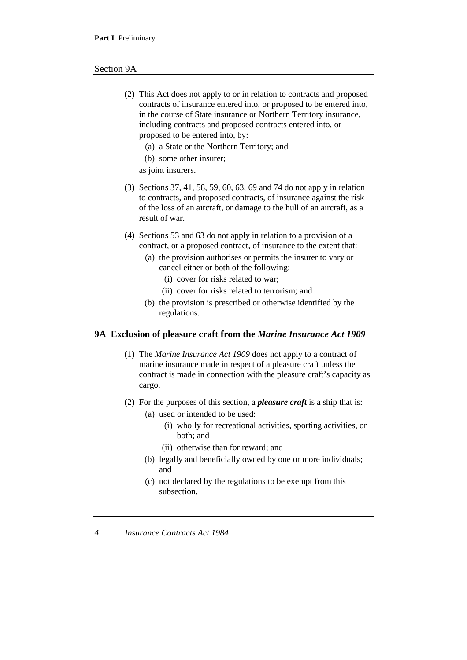#### Section 9A

- (2) This Act does not apply to or in relation to contracts and proposed contracts of insurance entered into, or proposed to be entered into, in the course of State insurance or Northern Territory insurance, including contracts and proposed contracts entered into, or proposed to be entered into, by:
	- (a) a State or the Northern Territory; and
	- (b) some other insurer;
	- as joint insurers.
- (3) Sections 37, 41, 58, 59, 60, 63, 69 and 74 do not apply in relation to contracts, and proposed contracts, of insurance against the risk of the loss of an aircraft, or damage to the hull of an aircraft, as a result of war.
- (4) Sections 53 and 63 do not apply in relation to a provision of a contract, or a proposed contract, of insurance to the extent that:
	- (a) the provision authorises or permits the insurer to vary or cancel either or both of the following:
		- (i) cover for risks related to war;
		- (ii) cover for risks related to terrorism; and
	- (b) the provision is prescribed or otherwise identified by the regulations.

#### **9A Exclusion of pleasure craft from the** *Marine Insurance Act 1909*

- (1) The *Marine Insurance Act 1909* does not apply to a contract of marine insurance made in respect of a pleasure craft unless the contract is made in connection with the pleasure craft's capacity as cargo.
- (2) For the purposes of this section, a *pleasure craft* is a ship that is: (a) used or intended to be used:
	- (i) wholly for recreational activities, sporting activities, or both; and
	- (ii) otherwise than for reward; and
	- (b) legally and beneficially owned by one or more individuals; and
	- (c) not declared by the regulations to be exempt from this subsection.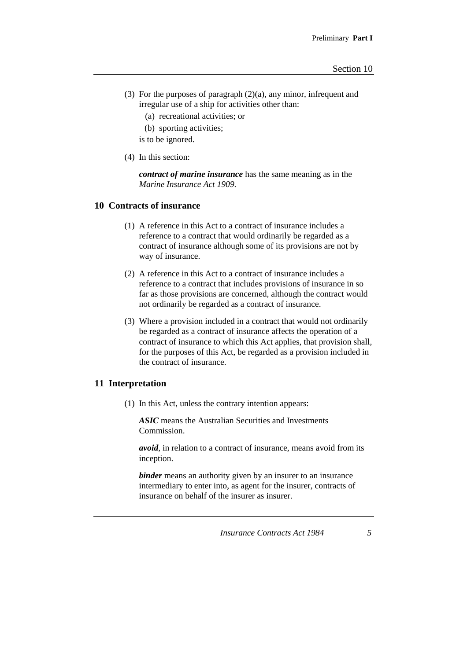- (3) For the purposes of paragraph  $(2)(a)$ , any minor, infrequent and irregular use of a ship for activities other than:
	- (a) recreational activities; or
	- (b) sporting activities;
	- is to be ignored.
- (4) In this section:

*contract of marine insurance* has the same meaning as in the *Marine Insurance Act 1909*.

# **10 Contracts of insurance**

- (1) A reference in this Act to a contract of insurance includes a reference to a contract that would ordinarily be regarded as a contract of insurance although some of its provisions are not by way of insurance.
- (2) A reference in this Act to a contract of insurance includes a reference to a contract that includes provisions of insurance in so far as those provisions are concerned, although the contract would not ordinarily be regarded as a contract of insurance.
- (3) Where a provision included in a contract that would not ordinarily be regarded as a contract of insurance affects the operation of a contract of insurance to which this Act applies, that provision shall, for the purposes of this Act, be regarded as a provision included in the contract of insurance.

## **11 Interpretation**

(1) In this Act, unless the contrary intention appears:

*ASIC* means the Australian Securities and Investments Commission.

*avoid*, in relation to a contract of insurance, means avoid from its inception.

*binder* means an authority given by an insurer to an insurance intermediary to enter into, as agent for the insurer, contracts of insurance on behalf of the insurer as insurer.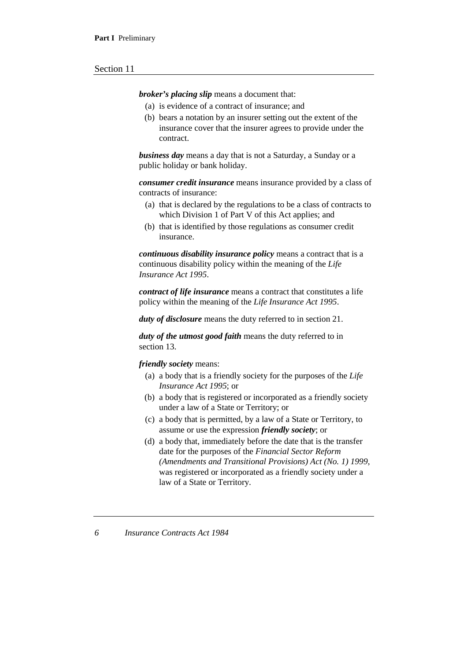*broker's placing slip* means a document that:

- (a) is evidence of a contract of insurance; and
- (b) bears a notation by an insurer setting out the extent of the insurance cover that the insurer agrees to provide under the contract.

*business day* means a day that is not a Saturday, a Sunday or a public holiday or bank holiday.

*consumer credit insurance* means insurance provided by a class of contracts of insurance:

- (a) that is declared by the regulations to be a class of contracts to which Division 1 of Part V of this Act applies; and
- (b) that is identified by those regulations as consumer credit insurance.

*continuous disability insurance policy* means a contract that is a continuous disability policy within the meaning of the *Life Insurance Act 1995*.

*contract of life insurance* means a contract that constitutes a life policy within the meaning of the *Life Insurance Act 1995*.

*duty of disclosure* means the duty referred to in section 21.

*duty of the utmost good faith* means the duty referred to in section 13.

*friendly society* means:

- (a) a body that is a friendly society for the purposes of the *Life Insurance Act 1995*; or
- (b) a body that is registered or incorporated as a friendly society under a law of a State or Territory; or
- (c) a body that is permitted, by a law of a State or Territory, to assume or use the expression *friendly society*; or
- (d) a body that, immediately before the date that is the transfer date for the purposes of the *Financial Sector Reform (Amendments and Transitional Provisions) Act (No. 1) 1999*, was registered or incorporated as a friendly society under a law of a State or Territory.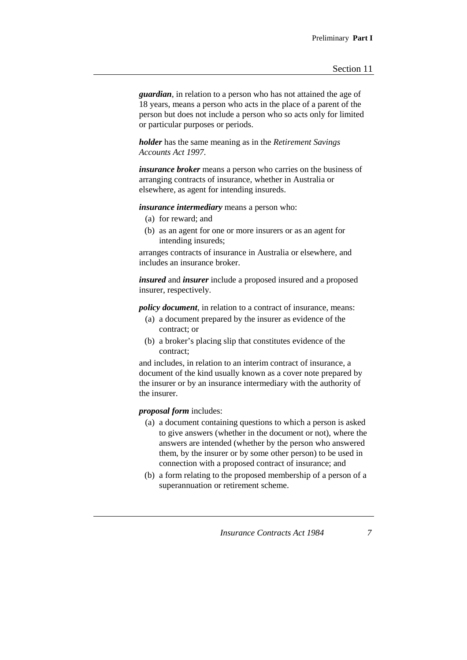*guardian*, in relation to a person who has not attained the age of 18 years, means a person who acts in the place of a parent of the person but does not include a person who so acts only for limited or particular purposes or periods.

*holder* has the same meaning as in the *Retirement Savings Accounts Act 1997*.

*insurance broker* means a person who carries on the business of arranging contracts of insurance, whether in Australia or elsewhere, as agent for intending insureds.

*insurance intermediary* means a person who:

- (a) for reward; and
- (b) as an agent for one or more insurers or as an agent for intending insureds;

arranges contracts of insurance in Australia or elsewhere, and includes an insurance broker.

*insured* and *insurer* include a proposed insured and a proposed insurer, respectively.

*policy document*, in relation to a contract of insurance, means:

- (a) a document prepared by the insurer as evidence of the contract; or
- (b) a broker's placing slip that constitutes evidence of the contract;

and includes, in relation to an interim contract of insurance, a document of the kind usually known as a cover note prepared by the insurer or by an insurance intermediary with the authority of the insurer.

#### *proposal form* includes:

- (a) a document containing questions to which a person is asked to give answers (whether in the document or not), where the answers are intended (whether by the person who answered them, by the insurer or by some other person) to be used in connection with a proposed contract of insurance; and
- (b) a form relating to the proposed membership of a person of a superannuation or retirement scheme.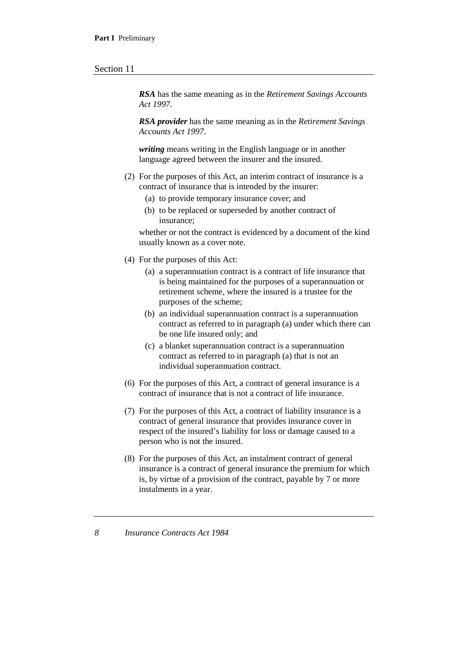*RSA* has the same meaning as in the *Retirement Savings Accounts Act 1997*.

*RSA provider* has the same meaning as in the *Retirement Savings Accounts Act 1997*.

*writing* means writing in the English language or in another language agreed between the insurer and the insured.

- (2) For the purposes of this Act, an interim contract of insurance is a contract of insurance that is intended by the insurer:
	- (a) to provide temporary insurance cover; and
	- (b) to be replaced or superseded by another contract of insurance;

whether or not the contract is evidenced by a document of the kind usually known as a cover note.

- (4) For the purposes of this Act:
	- (a) a superannuation contract is a contract of life insurance that is being maintained for the purposes of a superannuation or retirement scheme, where the insured is a trustee for the purposes of the scheme;
	- (b) an individual superannuation contract is a superannuation contract as referred to in paragraph (a) under which there can be one life insured only; and
	- (c) a blanket superannuation contract is a superannuation contract as referred to in paragraph (a) that is not an individual superannuation contract.
- (6) For the purposes of this Act, a contract of general insurance is a contract of insurance that is not a contract of life insurance.
- (7) For the purposes of this Act, a contract of liability insurance is a contract of general insurance that provides insurance cover in respect of the insured's liability for loss or damage caused to a person who is not the insured.
- (8) For the purposes of this Act, an instalment contract of general insurance is a contract of general insurance the premium for which is, by virtue of a provision of the contract, payable by 7 or more instalments in a year.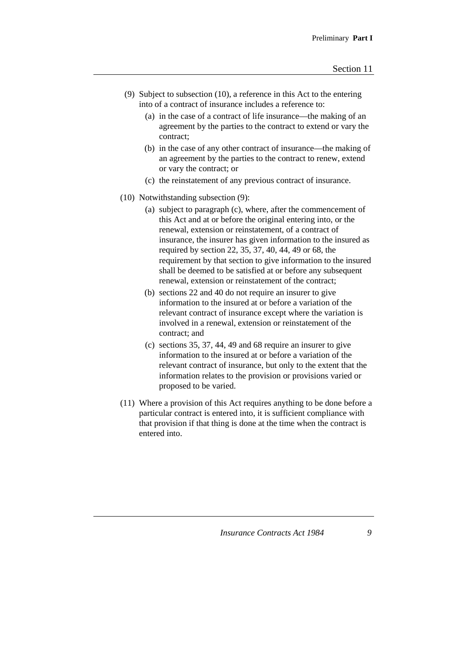- (9) Subject to subsection (10), a reference in this Act to the entering into of a contract of insurance includes a reference to:
	- (a) in the case of a contract of life insurance—the making of an agreement by the parties to the contract to extend or vary the contract;
	- (b) in the case of any other contract of insurance—the making of an agreement by the parties to the contract to renew, extend or vary the contract; or
	- (c) the reinstatement of any previous contract of insurance.
- (10) Notwithstanding subsection (9):
	- (a) subject to paragraph (c), where, after the commencement of this Act and at or before the original entering into, or the renewal, extension or reinstatement, of a contract of insurance, the insurer has given information to the insured as required by section 22, 35, 37, 40, 44, 49 or 68, the requirement by that section to give information to the insured shall be deemed to be satisfied at or before any subsequent renewal, extension or reinstatement of the contract;
	- (b) sections 22 and 40 do not require an insurer to give information to the insured at or before a variation of the relevant contract of insurance except where the variation is involved in a renewal, extension or reinstatement of the contract; and
	- (c) sections 35, 37, 44, 49 and 68 require an insurer to give information to the insured at or before a variation of the relevant contract of insurance, but only to the extent that the information relates to the provision or provisions varied or proposed to be varied.
- (11) Where a provision of this Act requires anything to be done before a particular contract is entered into, it is sufficient compliance with that provision if that thing is done at the time when the contract is entered into.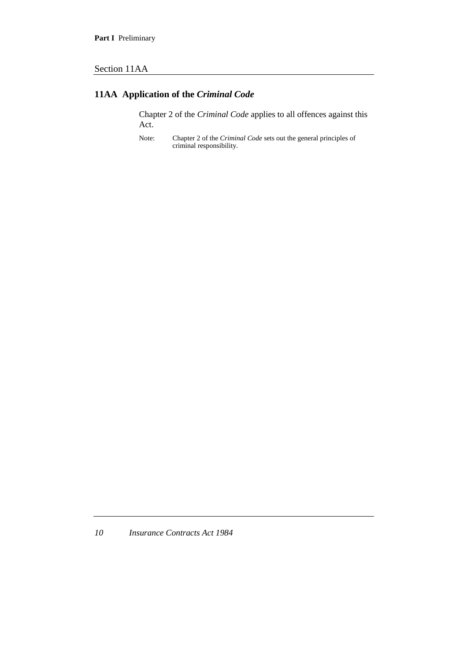# Section 11AA

# **11AA Application of the** *Criminal Code*

 Chapter 2 of the *Criminal Code* applies to all offences against this Act.

Note: Chapter 2 of the *Criminal Code* sets out the general principles of criminal responsibility.

*10 Insurance Contracts Act 1984*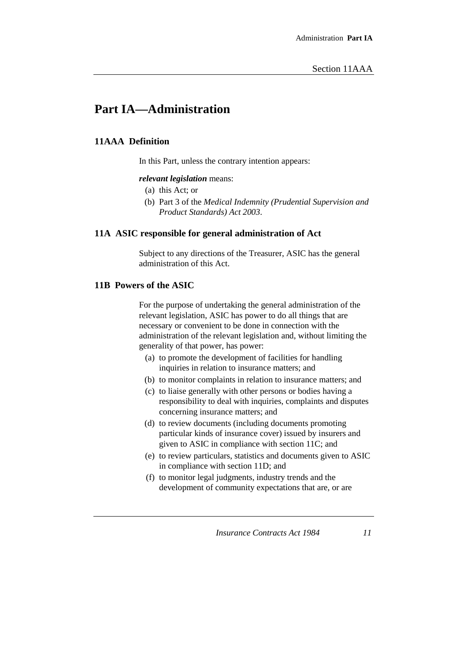# **Part IA—Administration**

## **11AAA Definition**

In this Part, unless the contrary intention appears:

*relevant legislation* means:

- (a) this Act; or
- (b) Part 3 of the *Medical Indemnity (Prudential Supervision and Product Standards) Act 2003*.

## **11A ASIC responsible for general administration of Act**

 Subject to any directions of the Treasurer, ASIC has the general administration of this Act.

## **11B Powers of the ASIC**

 For the purpose of undertaking the general administration of the relevant legislation, ASIC has power to do all things that are necessary or convenient to be done in connection with the administration of the relevant legislation and, without limiting the generality of that power, has power:

- (a) to promote the development of facilities for handling inquiries in relation to insurance matters; and
- (b) to monitor complaints in relation to insurance matters; and
- (c) to liaise generally with other persons or bodies having a responsibility to deal with inquiries, complaints and disputes concerning insurance matters; and
- (d) to review documents (including documents promoting particular kinds of insurance cover) issued by insurers and given to ASIC in compliance with section 11C; and
- (e) to review particulars, statistics and documents given to ASIC in compliance with section 11D; and
- (f) to monitor legal judgments, industry trends and the development of community expectations that are, or are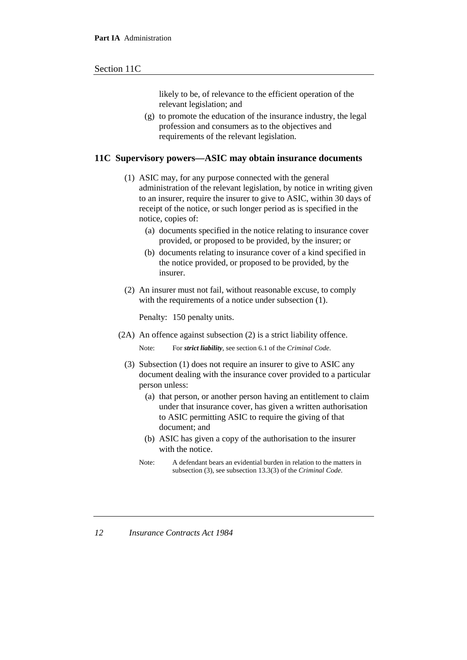#### Section 11C

likely to be, of relevance to the efficient operation of the relevant legislation; and

 (g) to promote the education of the insurance industry, the legal profession and consumers as to the objectives and requirements of the relevant legislation.

#### **11C Supervisory powers—ASIC may obtain insurance documents**

- (1) ASIC may, for any purpose connected with the general administration of the relevant legislation, by notice in writing given to an insurer, require the insurer to give to ASIC, within 30 days of receipt of the notice, or such longer period as is specified in the notice, copies of:
	- (a) documents specified in the notice relating to insurance cover provided, or proposed to be provided, by the insurer; or
	- (b) documents relating to insurance cover of a kind specified in the notice provided, or proposed to be provided, by the insurer.
- (2) An insurer must not fail, without reasonable excuse, to comply with the requirements of a notice under subsection (1).

Penalty: 150 penalty units.

(2A) An offence against subsection (2) is a strict liability offence.

Note: For *strict liability*, see section 6.1 of the *Criminal Code*.

- (3) Subsection (1) does not require an insurer to give to ASIC any document dealing with the insurance cover provided to a particular person unless:
	- (a) that person, or another person having an entitlement to claim under that insurance cover, has given a written authorisation to ASIC permitting ASIC to require the giving of that document; and
	- (b) ASIC has given a copy of the authorisation to the insurer with the notice.
	- Note: A defendant bears an evidential burden in relation to the matters in subsection (3), see subsection 13.3(3) of the *Criminal Code*.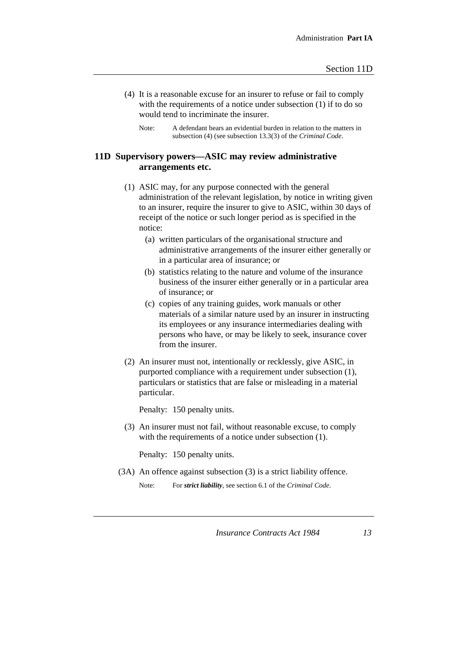(4) It is a reasonable excuse for an insurer to refuse or fail to comply with the requirements of a notice under subsection (1) if to do so would tend to incriminate the insurer.

## **11D Supervisory powers—ASIC may review administrative arrangements etc.**

- (1) ASIC may, for any purpose connected with the general administration of the relevant legislation, by notice in writing given to an insurer, require the insurer to give to ASIC, within 30 days of receipt of the notice or such longer period as is specified in the notice:
	- (a) written particulars of the organisational structure and administrative arrangements of the insurer either generally or in a particular area of insurance; or
	- (b) statistics relating to the nature and volume of the insurance business of the insurer either generally or in a particular area of insurance; or
	- (c) copies of any training guides, work manuals or other materials of a similar nature used by an insurer in instructing its employees or any insurance intermediaries dealing with persons who have, or may be likely to seek, insurance cover from the insurer.
- (2) An insurer must not, intentionally or recklessly, give ASIC, in purported compliance with a requirement under subsection (1), particulars or statistics that are false or misleading in a material particular.

Penalty: 150 penalty units.

 (3) An insurer must not fail, without reasonable excuse, to comply with the requirements of a notice under subsection  $(1)$ .

Penalty: 150 penalty units.

(3A) An offence against subsection (3) is a strict liability offence.

Note: A defendant bears an evidential burden in relation to the matters in subsection (4) (see subsection 13.3(3) of the *Criminal Code*.

Note: For *strict liability*, see section 6.1 of the *Criminal Code*.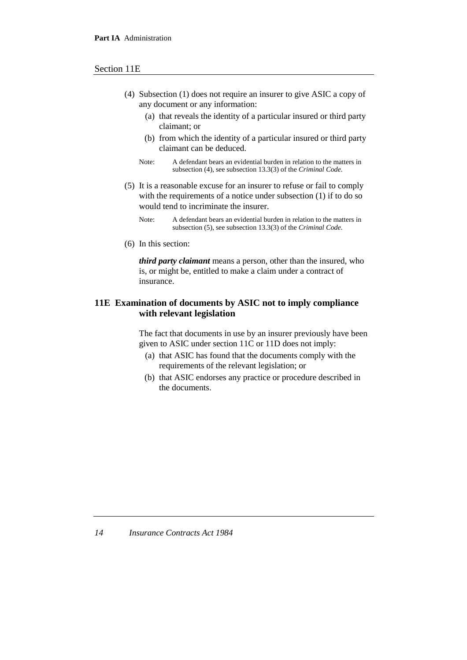- (4) Subsection (1) does not require an insurer to give ASIC a copy of any document or any information:
	- (a) that reveals the identity of a particular insured or third party claimant; or
	- (b) from which the identity of a particular insured or third party claimant can be deduced.
	- Note: A defendant bears an evidential burden in relation to the matters in subsection (4), see subsection 13.3(3) of the *Criminal Code*.
- (5) It is a reasonable excuse for an insurer to refuse or fail to comply with the requirements of a notice under subsection (1) if to do so would tend to incriminate the insurer.
	- Note: A defendant bears an evidential burden in relation to the matters in subsection (5), see subsection 13.3(3) of the *Criminal Code*.
- (6) In this section:

*third party claimant* means a person, other than the insured, who is, or might be, entitled to make a claim under a contract of insurance.

## **11E Examination of documents by ASIC not to imply compliance with relevant legislation**

 The fact that documents in use by an insurer previously have been given to ASIC under section 11C or 11D does not imply:

- (a) that ASIC has found that the documents comply with the requirements of the relevant legislation; or
- (b) that ASIC endorses any practice or procedure described in the documents.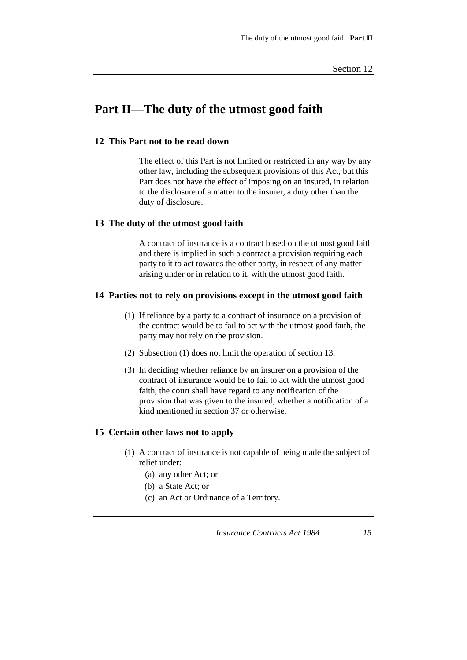# **Part II—The duty of the utmost good faith**

## **12 This Part not to be read down**

 The effect of this Part is not limited or restricted in any way by any other law, including the subsequent provisions of this Act, but this Part does not have the effect of imposing on an insured, in relation to the disclosure of a matter to the insurer, a duty other than the duty of disclosure.

#### **13 The duty of the utmost good faith**

 A contract of insurance is a contract based on the utmost good faith and there is implied in such a contract a provision requiring each party to it to act towards the other party, in respect of any matter arising under or in relation to it, with the utmost good faith.

#### **14 Parties not to rely on provisions except in the utmost good faith**

- (1) If reliance by a party to a contract of insurance on a provision of the contract would be to fail to act with the utmost good faith, the party may not rely on the provision.
- (2) Subsection (1) does not limit the operation of section 13.
- (3) In deciding whether reliance by an insurer on a provision of the contract of insurance would be to fail to act with the utmost good faith, the court shall have regard to any notification of the provision that was given to the insured, whether a notification of a kind mentioned in section 37 or otherwise.

### **15 Certain other laws not to apply**

- (1) A contract of insurance is not capable of being made the subject of relief under:
	- (a) any other Act; or
	- (b) a State Act; or
	- (c) an Act or Ordinance of a Territory.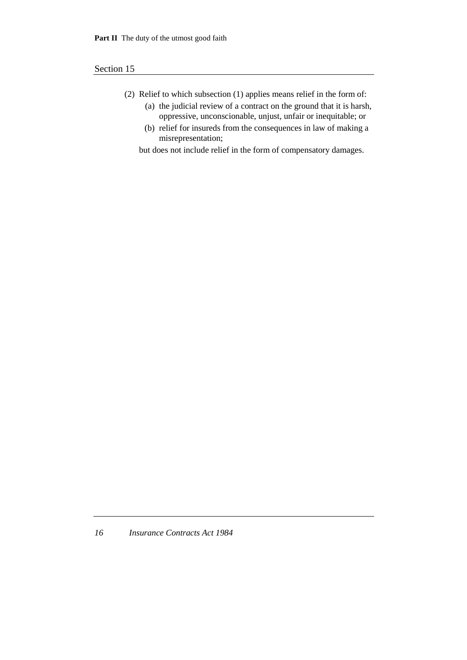- (2) Relief to which subsection (1) applies means relief in the form of:
	- (a) the judicial review of a contract on the ground that it is harsh, oppressive, unconscionable, unjust, unfair or inequitable; or
	- (b) relief for insureds from the consequences in law of making a misrepresentation;

but does not include relief in the form of compensatory damages.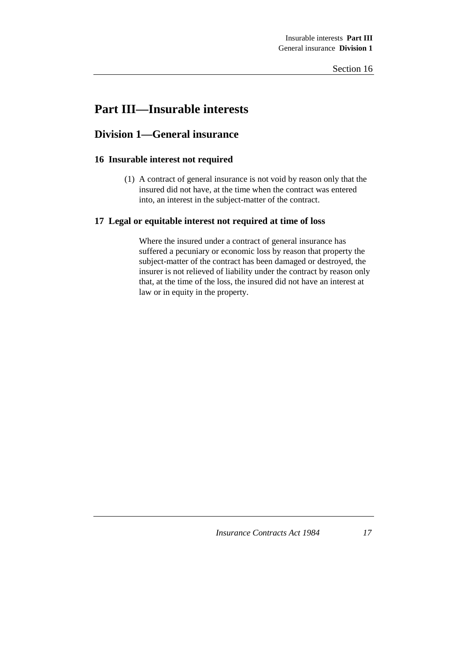# **Part III—Insurable interests**

# **Division 1—General insurance**

# **16 Insurable interest not required**

 (1) A contract of general insurance is not void by reason only that the insured did not have, at the time when the contract was entered into, an interest in the subject-matter of the contract.

# **17 Legal or equitable interest not required at time of loss**

 Where the insured under a contract of general insurance has suffered a pecuniary or economic loss by reason that property the subject-matter of the contract has been damaged or destroyed, the insurer is not relieved of liability under the contract by reason only that, at the time of the loss, the insured did not have an interest at law or in equity in the property.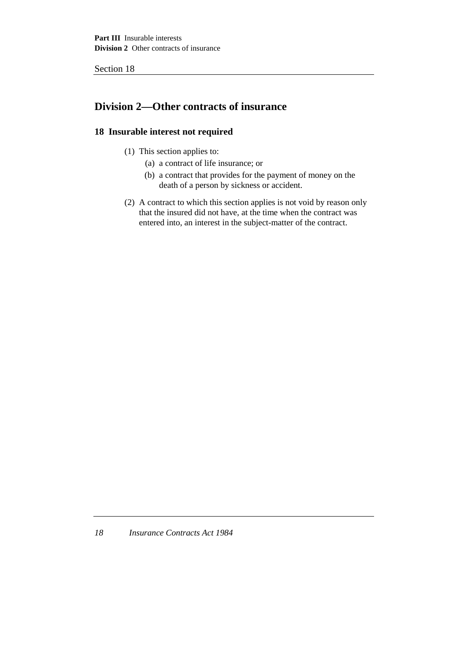# **Division 2—Other contracts of insurance**

# **18 Insurable interest not required**

- (1) This section applies to:
	- (a) a contract of life insurance; or
	- (b) a contract that provides for the payment of money on the death of a person by sickness or accident.
- (2) A contract to which this section applies is not void by reason only that the insured did not have, at the time when the contract was entered into, an interest in the subject-matter of the contract.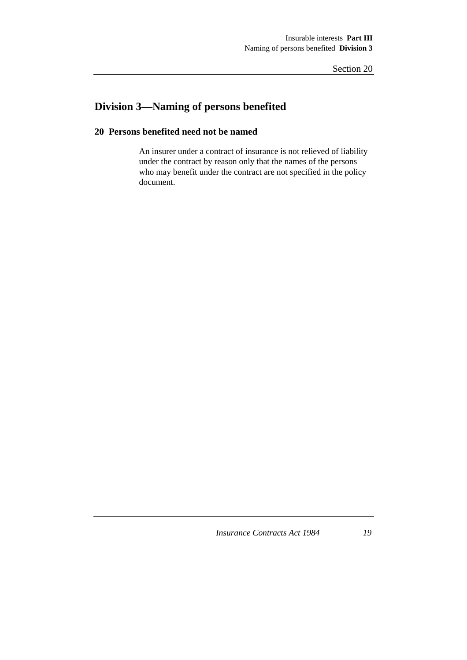# **Division 3—Naming of persons benefited**

# **20 Persons benefited need not be named**

 An insurer under a contract of insurance is not relieved of liability under the contract by reason only that the names of the persons who may benefit under the contract are not specified in the policy document.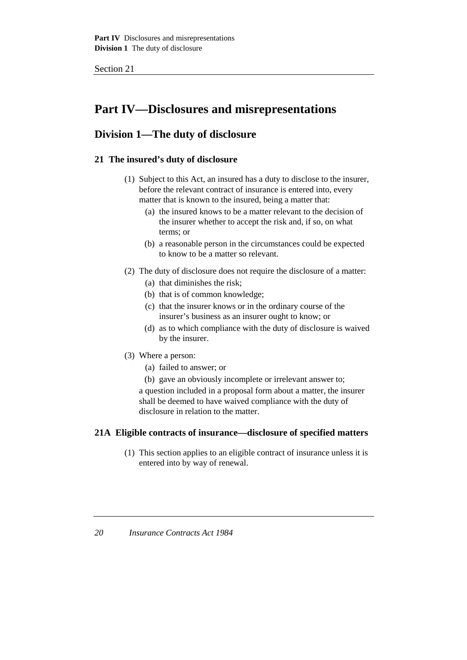# **Part IV—Disclosures and misrepresentations**

# **Division 1—The duty of disclosure**

# **21 The insured's duty of disclosure**

- (1) Subject to this Act, an insured has a duty to disclose to the insurer, before the relevant contract of insurance is entered into, every matter that is known to the insured, being a matter that:
	- (a) the insured knows to be a matter relevant to the decision of the insurer whether to accept the risk and, if so, on what terms; or
	- (b) a reasonable person in the circumstances could be expected to know to be a matter so relevant.
- (2) The duty of disclosure does not require the disclosure of a matter:
	- (a) that diminishes the risk;
	- (b) that is of common knowledge;
	- (c) that the insurer knows or in the ordinary course of the insurer's business as an insurer ought to know; or
	- (d) as to which compliance with the duty of disclosure is waived by the insurer.
- (3) Where a person:
	- (a) failed to answer; or
	- (b) gave an obviously incomplete or irrelevant answer to;

a question included in a proposal form about a matter, the insurer shall be deemed to have waived compliance with the duty of disclosure in relation to the matter.

# **21A Eligible contracts of insurance—disclosure of specified matters**

 (1) This section applies to an eligible contract of insurance unless it is entered into by way of renewal.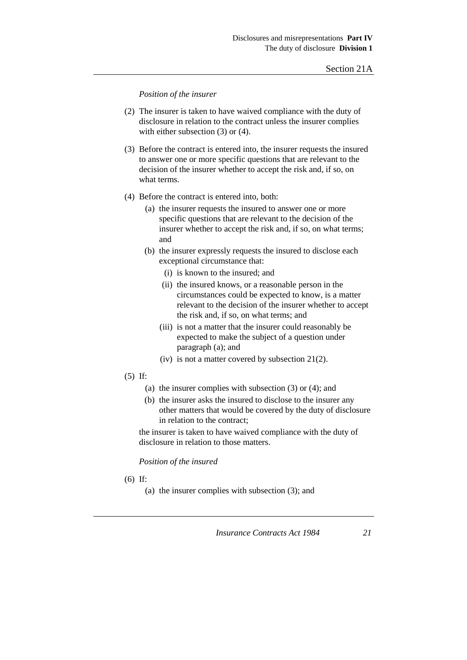*Position of the insurer* 

- (2) The insurer is taken to have waived compliance with the duty of disclosure in relation to the contract unless the insurer complies with either subsection (3) or (4).
- (3) Before the contract is entered into, the insurer requests the insured to answer one or more specific questions that are relevant to the decision of the insurer whether to accept the risk and, if so, on what terms.
- (4) Before the contract is entered into, both:
	- (a) the insurer requests the insured to answer one or more specific questions that are relevant to the decision of the insurer whether to accept the risk and, if so, on what terms; and
	- (b) the insurer expressly requests the insured to disclose each exceptional circumstance that:
		- (i) is known to the insured; and
		- (ii) the insured knows, or a reasonable person in the circumstances could be expected to know, is a matter relevant to the decision of the insurer whether to accept the risk and, if so, on what terms; and
		- (iii) is not a matter that the insurer could reasonably be expected to make the subject of a question under paragraph (a); and
		- (iv) is not a matter covered by subsection 21(2).
- (5) If:
	- (a) the insurer complies with subsection (3) or (4); and
	- (b) the insurer asks the insured to disclose to the insurer any other matters that would be covered by the duty of disclosure in relation to the contract;

the insurer is taken to have waived compliance with the duty of disclosure in relation to those matters.

#### *Position of the insured*

- (6) If:
	- (a) the insurer complies with subsection (3); and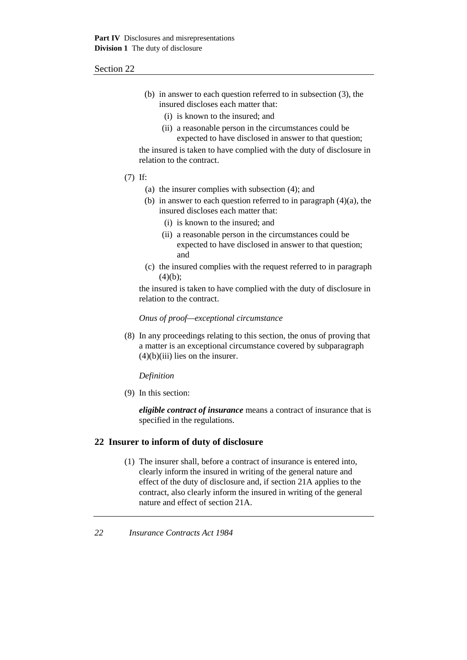- (b) in answer to each question referred to in subsection (3), the insured discloses each matter that:
	- (i) is known to the insured; and
	- (ii) a reasonable person in the circumstances could be expected to have disclosed in answer to that question;

the insured is taken to have complied with the duty of disclosure in relation to the contract.

- (7) If:
	- (a) the insurer complies with subsection (4); and
	- (b) in answer to each question referred to in paragraph (4)(a), the insured discloses each matter that:
		- (i) is known to the insured; and
		- (ii) a reasonable person in the circumstances could be expected to have disclosed in answer to that question; and
	- (c) the insured complies with the request referred to in paragraph  $(4)(b);$

the insured is taken to have complied with the duty of disclosure in relation to the contract.

#### *Onus of proof—exceptional circumstance*

 (8) In any proceedings relating to this section, the onus of proving that a matter is an exceptional circumstance covered by subparagraph  $(4)(b)(iii)$  lies on the insurer.

*Definition* 

(9) In this section:

*eligible contract of insurance* means a contract of insurance that is specified in the regulations.

#### **22 Insurer to inform of duty of disclosure**

 (1) The insurer shall, before a contract of insurance is entered into, clearly inform the insured in writing of the general nature and effect of the duty of disclosure and, if section 21A applies to the contract, also clearly inform the insured in writing of the general nature and effect of section 21A.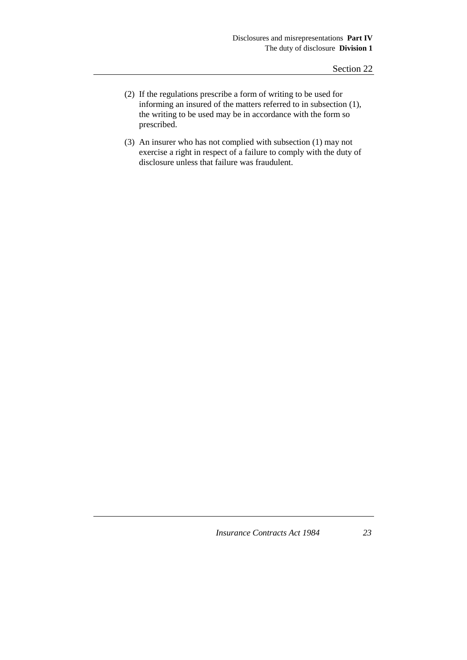- (2) If the regulations prescribe a form of writing to be used for informing an insured of the matters referred to in subsection (1), the writing to be used may be in accordance with the form so prescribed.
- (3) An insurer who has not complied with subsection (1) may not exercise a right in respect of a failure to comply with the duty of disclosure unless that failure was fraudulent.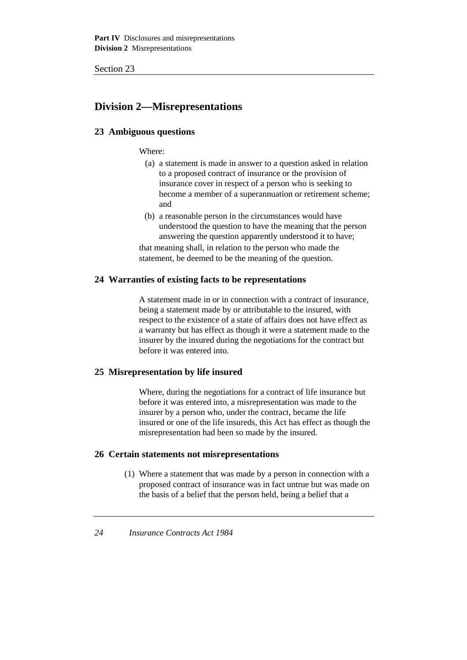# **Division 2—Misrepresentations**

# **23 Ambiguous questions**

## Where:

- (a) a statement is made in answer to a question asked in relation to a proposed contract of insurance or the provision of insurance cover in respect of a person who is seeking to become a member of a superannuation or retirement scheme; and
- (b) a reasonable person in the circumstances would have understood the question to have the meaning that the person answering the question apparently understood it to have;

that meaning shall, in relation to the person who made the statement, be deemed to be the meaning of the question.

# **24 Warranties of existing facts to be representations**

 A statement made in or in connection with a contract of insurance, being a statement made by or attributable to the insured, with respect to the existence of a state of affairs does not have effect as a warranty but has effect as though it were a statement made to the insurer by the insured during the negotiations for the contract but before it was entered into.

# **25 Misrepresentation by life insured**

 Where, during the negotiations for a contract of life insurance but before it was entered into, a misrepresentation was made to the insurer by a person who, under the contract, became the life insured or one of the life insureds, this Act has effect as though the misrepresentation had been so made by the insured.

# **26 Certain statements not misrepresentations**

 (1) Where a statement that was made by a person in connection with a proposed contract of insurance was in fact untrue but was made on the basis of a belief that the person held, being a belief that a

### *24 Insurance Contracts Act 1984*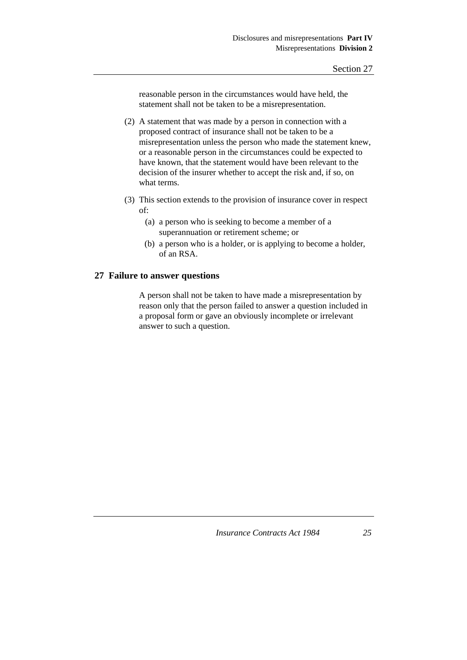reasonable person in the circumstances would have held, the statement shall not be taken to be a misrepresentation.

- (2) A statement that was made by a person in connection with a proposed contract of insurance shall not be taken to be a misrepresentation unless the person who made the statement knew, or a reasonable person in the circumstances could be expected to have known, that the statement would have been relevant to the decision of the insurer whether to accept the risk and, if so, on what terms.
- (3) This section extends to the provision of insurance cover in respect of:
	- (a) a person who is seeking to become a member of a superannuation or retirement scheme; or
	- (b) a person who is a holder, or is applying to become a holder, of an RSA.

### **27 Failure to answer questions**

 A person shall not be taken to have made a misrepresentation by reason only that the person failed to answer a question included in a proposal form or gave an obviously incomplete or irrelevant answer to such a question.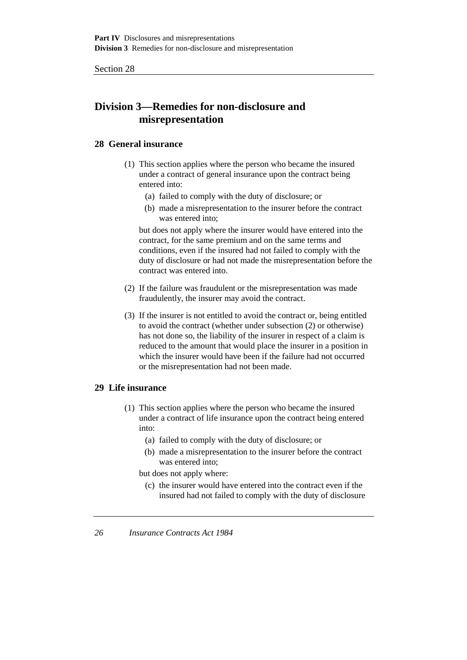# **Division 3—Remedies for non-disclosure and misrepresentation**

# **28 General insurance**

- (1) This section applies where the person who became the insured under a contract of general insurance upon the contract being entered into:
	- (a) failed to comply with the duty of disclosure; or
	- (b) made a misrepresentation to the insurer before the contract was entered into;

but does not apply where the insurer would have entered into the contract, for the same premium and on the same terms and conditions, even if the insured had not failed to comply with the duty of disclosure or had not made the misrepresentation before the contract was entered into.

- (2) If the failure was fraudulent or the misrepresentation was made fraudulently, the insurer may avoid the contract.
- (3) If the insurer is not entitled to avoid the contract or, being entitled to avoid the contract (whether under subsection (2) or otherwise) has not done so, the liability of the insurer in respect of a claim is reduced to the amount that would place the insurer in a position in which the insurer would have been if the failure had not occurred or the misrepresentation had not been made.

# **29 Life insurance**

- (1) This section applies where the person who became the insured under a contract of life insurance upon the contract being entered into:
	- (a) failed to comply with the duty of disclosure; or
	- (b) made a misrepresentation to the insurer before the contract was entered into;

but does not apply where:

 (c) the insurer would have entered into the contract even if the insured had not failed to comply with the duty of disclosure

*26 Insurance Contracts Act 1984*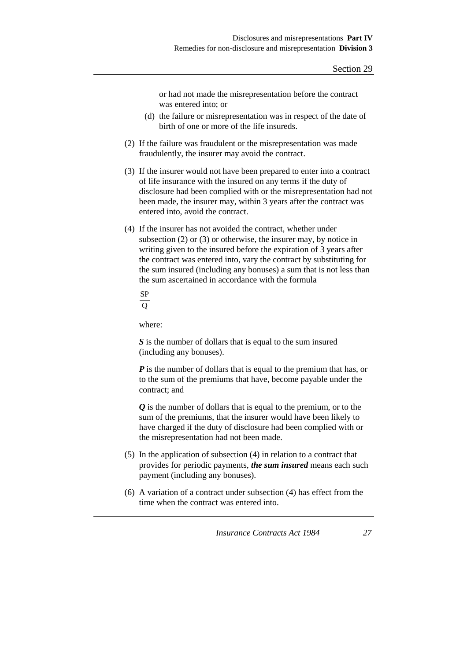or had not made the misrepresentation before the contract was entered into; or

- (d) the failure or misrepresentation was in respect of the date of birth of one or more of the life insureds.
- (2) If the failure was fraudulent or the misrepresentation was made fraudulently, the insurer may avoid the contract.
- (3) If the insurer would not have been prepared to enter into a contract of life insurance with the insured on any terms if the duty of disclosure had been complied with or the misrepresentation had not been made, the insurer may, within 3 years after the contract was entered into, avoid the contract.
- (4) If the insurer has not avoided the contract, whether under subsection (2) or (3) or otherwise, the insurer may, by notice in writing given to the insured before the expiration of 3 years after the contract was entered into, vary the contract by substituting for the sum insured (including any bonuses) a sum that is not less than the sum ascertained in accordance with the formula

```
SP
\overline{0}
```
where:

*S* is the number of dollars that is equal to the sum insured (including any bonuses).

*P* is the number of dollars that is equal to the premium that has, or to the sum of the premiums that have, become payable under the contract; and

*Q* is the number of dollars that is equal to the premium, or to the sum of the premiums, that the insurer would have been likely to have charged if the duty of disclosure had been complied with or the misrepresentation had not been made.

- (5) In the application of subsection (4) in relation to a contract that provides for periodic payments, *the sum insured* means each such payment (including any bonuses).
- (6) A variation of a contract under subsection (4) has effect from the time when the contract was entered into.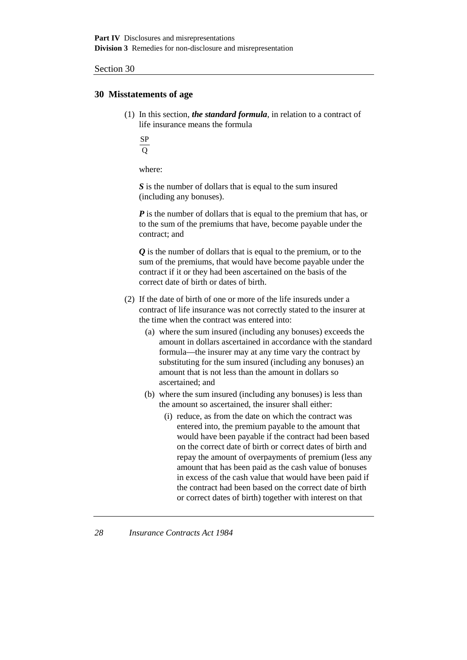#### **30 Misstatements of age**

 (1) In this section, *the standard formula*, in relation to a contract of life insurance means the formula

SP  $\overline{Q}$ 

where:

*S* is the number of dollars that is equal to the sum insured (including any bonuses).

*P* is the number of dollars that is equal to the premium that has, or to the sum of the premiums that have, become payable under the contract; and

*Q* is the number of dollars that is equal to the premium, or to the sum of the premiums, that would have become payable under the contract if it or they had been ascertained on the basis of the correct date of birth or dates of birth.

- (2) If the date of birth of one or more of the life insureds under a contract of life insurance was not correctly stated to the insurer at the time when the contract was entered into:
	- (a) where the sum insured (including any bonuses) exceeds the amount in dollars ascertained in accordance with the standard formula—the insurer may at any time vary the contract by substituting for the sum insured (including any bonuses) an amount that is not less than the amount in dollars so ascertained; and
	- (b) where the sum insured (including any bonuses) is less than the amount so ascertained, the insurer shall either:
		- (i) reduce, as from the date on which the contract was entered into, the premium payable to the amount that would have been payable if the contract had been based on the correct date of birth or correct dates of birth and repay the amount of overpayments of premium (less any amount that has been paid as the cash value of bonuses in excess of the cash value that would have been paid if the contract had been based on the correct date of birth or correct dates of birth) together with interest on that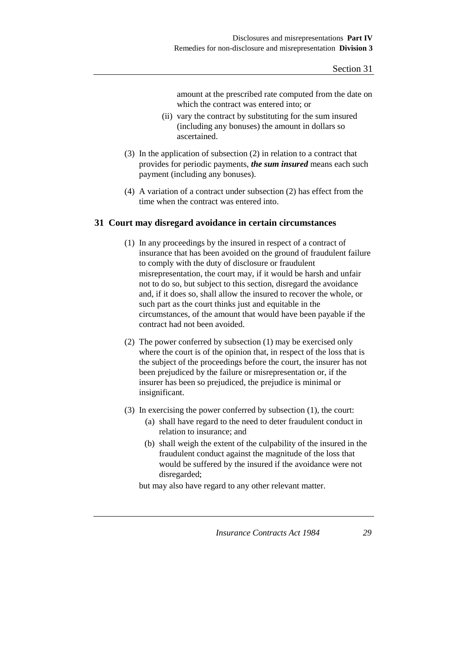amount at the prescribed rate computed from the date on which the contract was entered into; or

- (ii) vary the contract by substituting for the sum insured (including any bonuses) the amount in dollars so ascertained.
- (3) In the application of subsection (2) in relation to a contract that provides for periodic payments, *the sum insured* means each such payment (including any bonuses).
- (4) A variation of a contract under subsection (2) has effect from the time when the contract was entered into.

## **31 Court may disregard avoidance in certain circumstances**

- (1) In any proceedings by the insured in respect of a contract of insurance that has been avoided on the ground of fraudulent failure to comply with the duty of disclosure or fraudulent misrepresentation, the court may, if it would be harsh and unfair not to do so, but subject to this section, disregard the avoidance and, if it does so, shall allow the insured to recover the whole, or such part as the court thinks just and equitable in the circumstances, of the amount that would have been payable if the contract had not been avoided.
- (2) The power conferred by subsection (1) may be exercised only where the court is of the opinion that, in respect of the loss that is the subject of the proceedings before the court, the insurer has not been prejudiced by the failure or misrepresentation or, if the insurer has been so prejudiced, the prejudice is minimal or insignificant.
- (3) In exercising the power conferred by subsection (1), the court:
	- (a) shall have regard to the need to deter fraudulent conduct in relation to insurance; and
	- (b) shall weigh the extent of the culpability of the insured in the fraudulent conduct against the magnitude of the loss that would be suffered by the insured if the avoidance were not disregarded;

but may also have regard to any other relevant matter.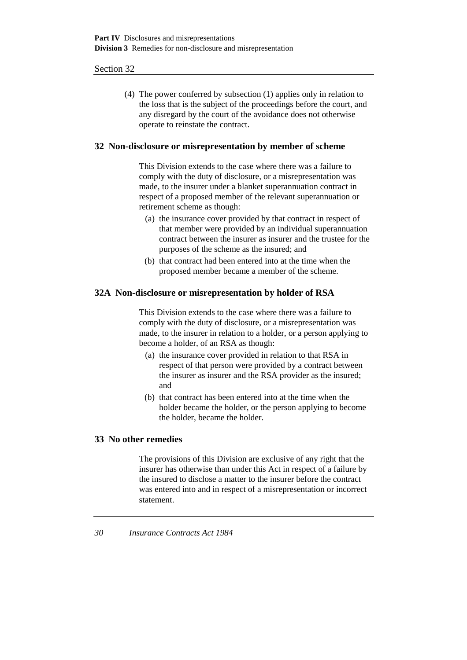(4) The power conferred by subsection (1) applies only in relation to the loss that is the subject of the proceedings before the court, and any disregard by the court of the avoidance does not otherwise operate to reinstate the contract.

## **32 Non-disclosure or misrepresentation by member of scheme**

 This Division extends to the case where there was a failure to comply with the duty of disclosure, or a misrepresentation was made, to the insurer under a blanket superannuation contract in respect of a proposed member of the relevant superannuation or retirement scheme as though:

- (a) the insurance cover provided by that contract in respect of that member were provided by an individual superannuation contract between the insurer as insurer and the trustee for the purposes of the scheme as the insured; and
- (b) that contract had been entered into at the time when the proposed member became a member of the scheme.

## **32A Non-disclosure or misrepresentation by holder of RSA**

 This Division extends to the case where there was a failure to comply with the duty of disclosure, or a misrepresentation was made, to the insurer in relation to a holder, or a person applying to become a holder, of an RSA as though:

- (a) the insurance cover provided in relation to that RSA in respect of that person were provided by a contract between the insurer as insurer and the RSA provider as the insured; and
- (b) that contract has been entered into at the time when the holder became the holder, or the person applying to become the holder, became the holder.

### **33 No other remedies**

 The provisions of this Division are exclusive of any right that the insurer has otherwise than under this Act in respect of a failure by the insured to disclose a matter to the insurer before the contract was entered into and in respect of a misrepresentation or incorrect statement.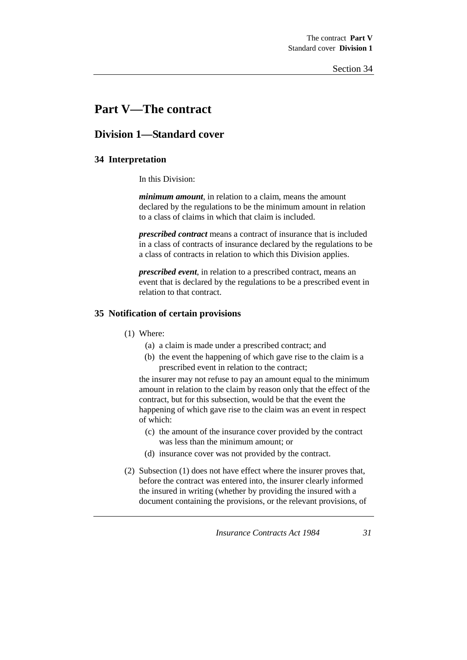The contract **Part V** Standard cover **Division 1**

# **Part V—The contract**

## **Division 1—Standard cover**

## **34 Interpretation**

In this Division:

*minimum amount*, in relation to a claim, means the amount declared by the regulations to be the minimum amount in relation to a class of claims in which that claim is included.

*prescribed contract* means a contract of insurance that is included in a class of contracts of insurance declared by the regulations to be a class of contracts in relation to which this Division applies.

*prescribed event*, in relation to a prescribed contract, means an event that is declared by the regulations to be a prescribed event in relation to that contract.

## **35 Notification of certain provisions**

- (1) Where:
	- (a) a claim is made under a prescribed contract; and
	- (b) the event the happening of which gave rise to the claim is a prescribed event in relation to the contract;

the insurer may not refuse to pay an amount equal to the minimum amount in relation to the claim by reason only that the effect of the contract, but for this subsection, would be that the event the happening of which gave rise to the claim was an event in respect of which:

- (c) the amount of the insurance cover provided by the contract was less than the minimum amount; or
- (d) insurance cover was not provided by the contract.
- (2) Subsection (1) does not have effect where the insurer proves that, before the contract was entered into, the insurer clearly informed the insured in writing (whether by providing the insured with a document containing the provisions, or the relevant provisions, of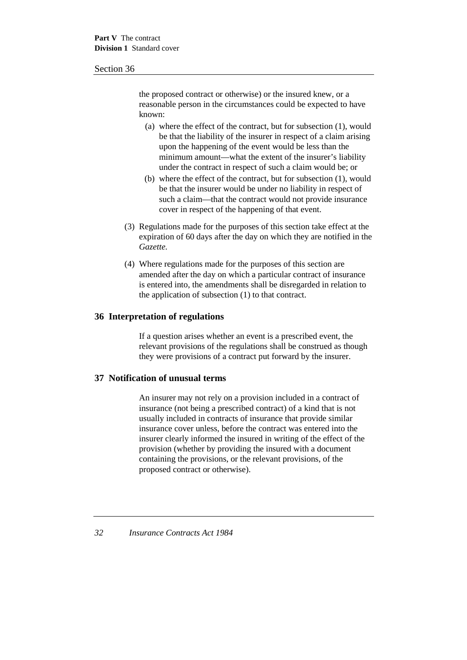the proposed contract or otherwise) or the insured knew, or a reasonable person in the circumstances could be expected to have known:

- (a) where the effect of the contract, but for subsection (1), would be that the liability of the insurer in respect of a claim arising upon the happening of the event would be less than the minimum amount—what the extent of the insurer's liability under the contract in respect of such a claim would be; or
- (b) where the effect of the contract, but for subsection (1), would be that the insurer would be under no liability in respect of such a claim—that the contract would not provide insurance cover in respect of the happening of that event.
- (3) Regulations made for the purposes of this section take effect at the expiration of 60 days after the day on which they are notified in the *Gazette.*
- (4) Where regulations made for the purposes of this section are amended after the day on which a particular contract of insurance is entered into, the amendments shall be disregarded in relation to the application of subsection (1) to that contract.

## **36 Interpretation of regulations**

 If a question arises whether an event is a prescribed event, the relevant provisions of the regulations shall be construed as though they were provisions of a contract put forward by the insurer.

### **37 Notification of unusual terms**

 An insurer may not rely on a provision included in a contract of insurance (not being a prescribed contract) of a kind that is not usually included in contracts of insurance that provide similar insurance cover unless, before the contract was entered into the insurer clearly informed the insured in writing of the effect of the provision (whether by providing the insured with a document containing the provisions, or the relevant provisions, of the proposed contract or otherwise).

*32 Insurance Contracts Act 1984*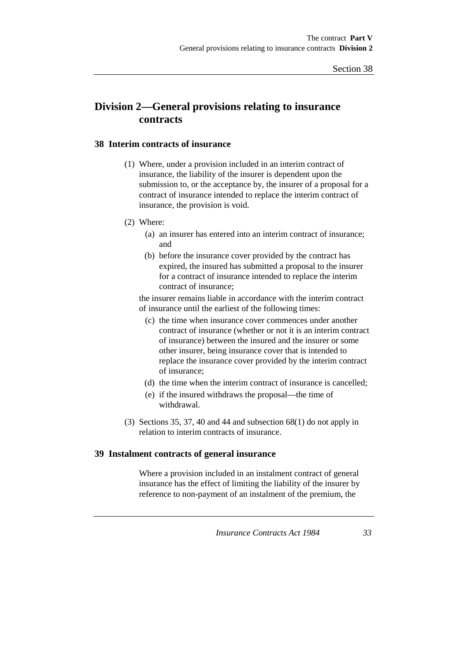## **Division 2—General provisions relating to insurance contracts**

## **38 Interim contracts of insurance**

- (1) Where, under a provision included in an interim contract of insurance, the liability of the insurer is dependent upon the submission to, or the acceptance by, the insurer of a proposal for a contract of insurance intended to replace the interim contract of insurance, the provision is void.
- (2) Where:
	- (a) an insurer has entered into an interim contract of insurance; and
	- (b) before the insurance cover provided by the contract has expired, the insured has submitted a proposal to the insurer for a contract of insurance intended to replace the interim contract of insurance;

the insurer remains liable in accordance with the interim contract of insurance until the earliest of the following times:

- (c) the time when insurance cover commences under another contract of insurance (whether or not it is an interim contract of insurance) between the insured and the insurer or some other insurer, being insurance cover that is intended to replace the insurance cover provided by the interim contract of insurance;
- (d) the time when the interim contract of insurance is cancelled;
- (e) if the insured withdraws the proposal—the time of withdrawal.
- (3) Sections 35, 37, 40 and 44 and subsection 68(1) do not apply in relation to interim contracts of insurance.

## **39 Instalment contracts of general insurance**

 Where a provision included in an instalment contract of general insurance has the effect of limiting the liability of the insurer by reference to non-payment of an instalment of the premium, the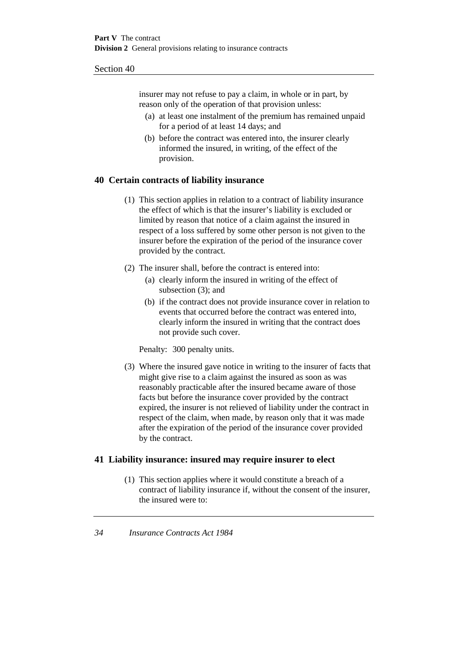insurer may not refuse to pay a claim, in whole or in part, by reason only of the operation of that provision unless:

- (a) at least one instalment of the premium has remained unpaid for a period of at least 14 days; and
- (b) before the contract was entered into, the insurer clearly informed the insured, in writing, of the effect of the provision.

## **40 Certain contracts of liability insurance**

- (1) This section applies in relation to a contract of liability insurance the effect of which is that the insurer's liability is excluded or limited by reason that notice of a claim against the insured in respect of a loss suffered by some other person is not given to the insurer before the expiration of the period of the insurance cover provided by the contract.
- (2) The insurer shall, before the contract is entered into:
	- (a) clearly inform the insured in writing of the effect of subsection (3); and
	- (b) if the contract does not provide insurance cover in relation to events that occurred before the contract was entered into, clearly inform the insured in writing that the contract does not provide such cover.

Penalty: 300 penalty units.

 (3) Where the insured gave notice in writing to the insurer of facts that might give rise to a claim against the insured as soon as was reasonably practicable after the insured became aware of those facts but before the insurance cover provided by the contract expired, the insurer is not relieved of liability under the contract in respect of the claim, when made, by reason only that it was made after the expiration of the period of the insurance cover provided by the contract.

### **41 Liability insurance: insured may require insurer to elect**

 (1) This section applies where it would constitute a breach of a contract of liability insurance if, without the consent of the insurer, the insured were to: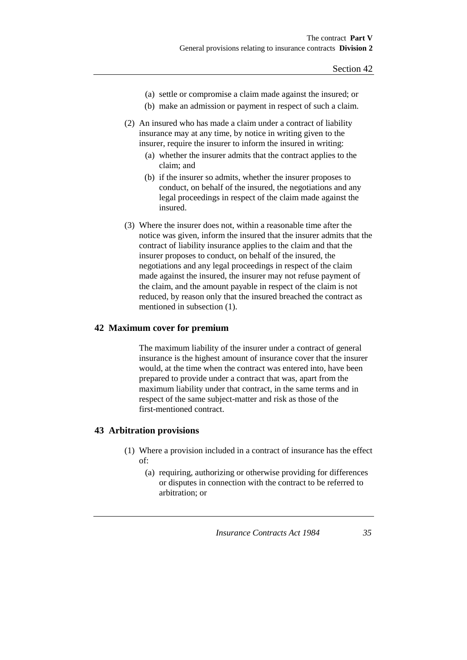- (a) settle or compromise a claim made against the insured; or
- (b) make an admission or payment in respect of such a claim.
- (2) An insured who has made a claim under a contract of liability insurance may at any time, by notice in writing given to the insurer, require the insurer to inform the insured in writing:
	- (a) whether the insurer admits that the contract applies to the claim; and
	- (b) if the insurer so admits, whether the insurer proposes to conduct, on behalf of the insured, the negotiations and any legal proceedings in respect of the claim made against the insured.
- (3) Where the insurer does not, within a reasonable time after the notice was given, inform the insured that the insurer admits that the contract of liability insurance applies to the claim and that the insurer proposes to conduct, on behalf of the insured, the negotiations and any legal proceedings in respect of the claim made against the insured, the insurer may not refuse payment of the claim, and the amount payable in respect of the claim is not reduced, by reason only that the insured breached the contract as mentioned in subsection (1).

### **42 Maximum cover for premium**

 The maximum liability of the insurer under a contract of general insurance is the highest amount of insurance cover that the insurer would, at the time when the contract was entered into, have been prepared to provide under a contract that was, apart from the maximum liability under that contract, in the same terms and in respect of the same subject-matter and risk as those of the first-mentioned contract.

### **43 Arbitration provisions**

- (1) Where a provision included in a contract of insurance has the effect of:
	- (a) requiring, authorizing or otherwise providing for differences or disputes in connection with the contract to be referred to arbitration; or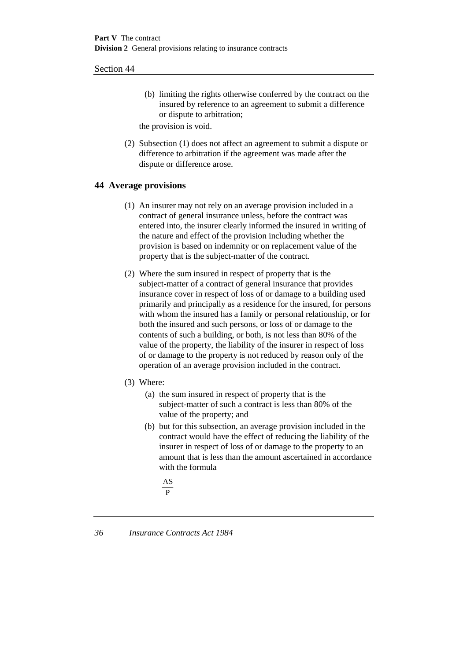(b) limiting the rights otherwise conferred by the contract on the insured by reference to an agreement to submit a difference or dispute to arbitration;

the provision is void.

 (2) Subsection (1) does not affect an agreement to submit a dispute or difference to arbitration if the agreement was made after the dispute or difference arose.

## **44 Average provisions**

- (1) An insurer may not rely on an average provision included in a contract of general insurance unless, before the contract was entered into, the insurer clearly informed the insured in writing of the nature and effect of the provision including whether the provision is based on indemnity or on replacement value of the property that is the subject-matter of the contract.
- (2) Where the sum insured in respect of property that is the subject-matter of a contract of general insurance that provides insurance cover in respect of loss of or damage to a building used primarily and principally as a residence for the insured, for persons with whom the insured has a family or personal relationship, or for both the insured and such persons, or loss of or damage to the contents of such a building, or both, is not less than 80% of the value of the property, the liability of the insurer in respect of loss of or damage to the property is not reduced by reason only of the operation of an average provision included in the contract.
- (3) Where:
	- (a) the sum insured in respect of property that is the subject-matter of such a contract is less than 80% of the value of the property; and
	- (b) but for this subsection, an average provision included in the contract would have the effect of reducing the liability of the insurer in respect of loss of or damage to the property to an amount that is less than the amount ascertained in accordance with the formula
		- AS P
- *36 Insurance Contracts Act 1984*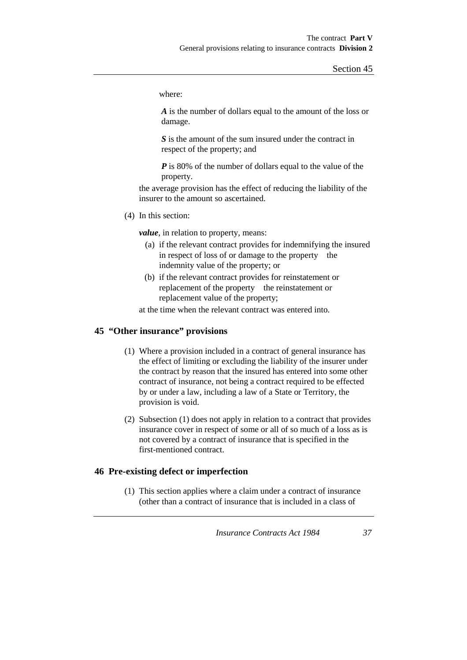where:

*A* is the number of dollars equal to the amount of the loss or damage.

*S* is the amount of the sum insured under the contract in respect of the property; and

*P* is 80% of the number of dollars equal to the value of the property.

the average provision has the effect of reducing the liability of the insurer to the amount so ascertained.

(4) In this section:

*value*, in relation to property, means:

- (a) if the relevant contract provides for indemnifying the insured in respect of loss of or damage to the property—the indemnity value of the property; or
- (b) if the relevant contract provides for reinstatement or replacement of the property—the reinstatement or replacement value of the property;

at the time when the relevant contract was entered into.

## **45 "Other insurance" provisions**

- (1) Where a provision included in a contract of general insurance has the effect of limiting or excluding the liability of the insurer under the contract by reason that the insured has entered into some other contract of insurance, not being a contract required to be effected by or under a law, including a law of a State or Territory, the provision is void.
- (2) Subsection (1) does not apply in relation to a contract that provides insurance cover in respect of some or all of so much of a loss as is not covered by a contract of insurance that is specified in the first-mentioned contract.

### **46 Pre-existing defect or imperfection**

 (1) This section applies where a claim under a contract of insurance (other than a contract of insurance that is included in a class of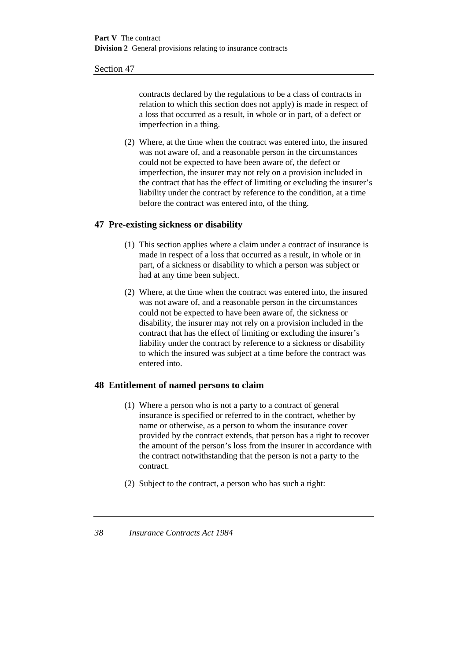contracts declared by the regulations to be a class of contracts in relation to which this section does not apply) is made in respect of a loss that occurred as a result, in whole or in part, of a defect or imperfection in a thing.

 (2) Where, at the time when the contract was entered into, the insured was not aware of, and a reasonable person in the circumstances could not be expected to have been aware of, the defect or imperfection, the insurer may not rely on a provision included in the contract that has the effect of limiting or excluding the insurer's liability under the contract by reference to the condition, at a time before the contract was entered into, of the thing.

### **47 Pre-existing sickness or disability**

- (1) This section applies where a claim under a contract of insurance is made in respect of a loss that occurred as a result, in whole or in part, of a sickness or disability to which a person was subject or had at any time been subject.
- (2) Where, at the time when the contract was entered into, the insured was not aware of, and a reasonable person in the circumstances could not be expected to have been aware of, the sickness or disability, the insurer may not rely on a provision included in the contract that has the effect of limiting or excluding the insurer's liability under the contract by reference to a sickness or disability to which the insured was subject at a time before the contract was entered into.

## **48 Entitlement of named persons to claim**

- (1) Where a person who is not a party to a contract of general insurance is specified or referred to in the contract, whether by name or otherwise, as a person to whom the insurance cover provided by the contract extends, that person has a right to recover the amount of the person's loss from the insurer in accordance with the contract notwithstanding that the person is not a party to the contract.
- (2) Subject to the contract, a person who has such a right: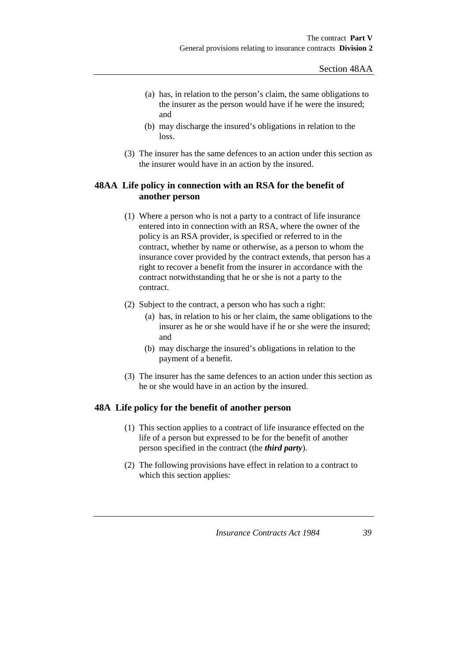- (a) has, in relation to the person's claim, the same obligations to the insurer as the person would have if he were the insured; and
- (b) may discharge the insured's obligations in relation to the loss.
- (3) The insurer has the same defences to an action under this section as the insurer would have in an action by the insured.

## **48AA Life policy in connection with an RSA for the benefit of another person**

- (1) Where a person who is not a party to a contract of life insurance entered into in connection with an RSA, where the owner of the policy is an RSA provider, is specified or referred to in the contract, whether by name or otherwise, as a person to whom the insurance cover provided by the contract extends, that person has a right to recover a benefit from the insurer in accordance with the contract notwithstanding that he or she is not a party to the contract.
- (2) Subject to the contract, a person who has such a right:
	- (a) has, in relation to his or her claim, the same obligations to the insurer as he or she would have if he or she were the insured; and
	- (b) may discharge the insured's obligations in relation to the payment of a benefit.
- (3) The insurer has the same defences to an action under this section as he or she would have in an action by the insured.

## **48A Life policy for the benefit of another person**

- (1) This section applies to a contract of life insurance effected on the life of a person but expressed to be for the benefit of another person specified in the contract (the *third party*).
- (2) The following provisions have effect in relation to a contract to which this section applies: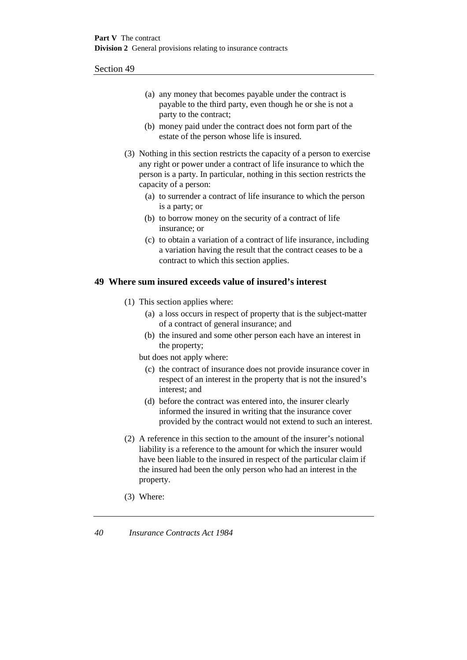- (a) any money that becomes payable under the contract is payable to the third party, even though he or she is not a party to the contract;
- (b) money paid under the contract does not form part of the estate of the person whose life is insured.
- (3) Nothing in this section restricts the capacity of a person to exercise any right or power under a contract of life insurance to which the person is a party. In particular, nothing in this section restricts the capacity of a person:
	- (a) to surrender a contract of life insurance to which the person is a party; or
	- (b) to borrow money on the security of a contract of life insurance; or
	- (c) to obtain a variation of a contract of life insurance, including a variation having the result that the contract ceases to be a contract to which this section applies.

## **49 Where sum insured exceeds value of insured's interest**

- (1) This section applies where:
	- (a) a loss occurs in respect of property that is the subject-matter of a contract of general insurance; and
	- (b) the insured and some other person each have an interest in the property;

but does not apply where:

- (c) the contract of insurance does not provide insurance cover in respect of an interest in the property that is not the insured's interest; and
- (d) before the contract was entered into, the insurer clearly informed the insured in writing that the insurance cover provided by the contract would not extend to such an interest.
- (2) A reference in this section to the amount of the insurer's notional liability is a reference to the amount for which the insurer would have been liable to the insured in respect of the particular claim if the insured had been the only person who had an interest in the property.
- (3) Where: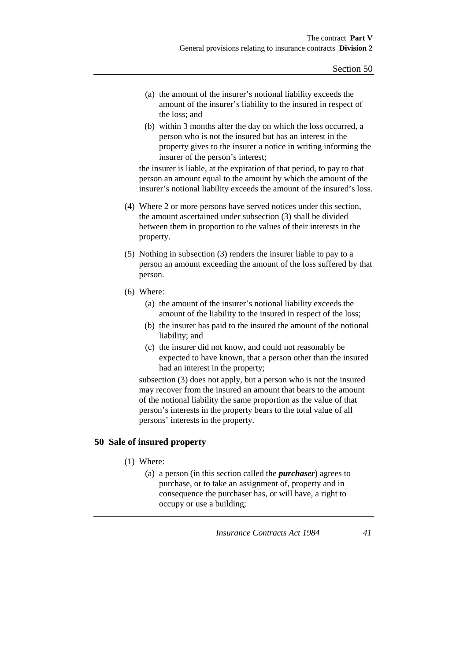- (a) the amount of the insurer's notional liability exceeds the amount of the insurer's liability to the insured in respect of the loss; and
- (b) within 3 months after the day on which the loss occurred, a person who is not the insured but has an interest in the property gives to the insurer a notice in writing informing the insurer of the person's interest;

the insurer is liable, at the expiration of that period, to pay to that person an amount equal to the amount by which the amount of the insurer's notional liability exceeds the amount of the insured's loss.

- (4) Where 2 or more persons have served notices under this section, the amount ascertained under subsection (3) shall be divided between them in proportion to the values of their interests in the property.
- (5) Nothing in subsection (3) renders the insurer liable to pay to a person an amount exceeding the amount of the loss suffered by that person.
- (6) Where:
	- (a) the amount of the insurer's notional liability exceeds the amount of the liability to the insured in respect of the loss;
	- (b) the insurer has paid to the insured the amount of the notional liability; and
	- (c) the insurer did not know, and could not reasonably be expected to have known, that a person other than the insured had an interest in the property;

subsection (3) does not apply, but a person who is not the insured may recover from the insured an amount that bears to the amount of the notional liability the same proportion as the value of that person's interests in the property bears to the total value of all persons' interests in the property.

## **50 Sale of insured property**

- (1) Where:
	- (a) a person (in this section called the *purchaser*) agrees to purchase, or to take an assignment of, property and in consequence the purchaser has, or will have, a right to occupy or use a building;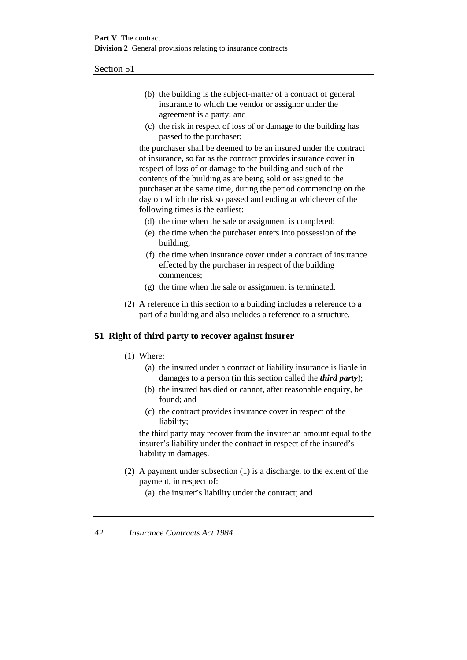- (b) the building is the subject-matter of a contract of general insurance to which the vendor or assignor under the agreement is a party; and
- (c) the risk in respect of loss of or damage to the building has passed to the purchaser;

the purchaser shall be deemed to be an insured under the contract of insurance, so far as the contract provides insurance cover in respect of loss of or damage to the building and such of the contents of the building as are being sold or assigned to the purchaser at the same time, during the period commencing on the day on which the risk so passed and ending at whichever of the following times is the earliest:

- (d) the time when the sale or assignment is completed;
- (e) the time when the purchaser enters into possession of the building;
- (f) the time when insurance cover under a contract of insurance effected by the purchaser in respect of the building commences;
- (g) the time when the sale or assignment is terminated.
- (2) A reference in this section to a building includes a reference to a part of a building and also includes a reference to a structure.

## **51 Right of third party to recover against insurer**

- (1) Where:
	- (a) the insured under a contract of liability insurance is liable in damages to a person (in this section called the *third party*);
	- (b) the insured has died or cannot, after reasonable enquiry, be found; and
	- (c) the contract provides insurance cover in respect of the liability;

the third party may recover from the insurer an amount equal to the insurer's liability under the contract in respect of the insured's liability in damages.

- (2) A payment under subsection (1) is a discharge, to the extent of the payment, in respect of:
	- (a) the insurer's liability under the contract; and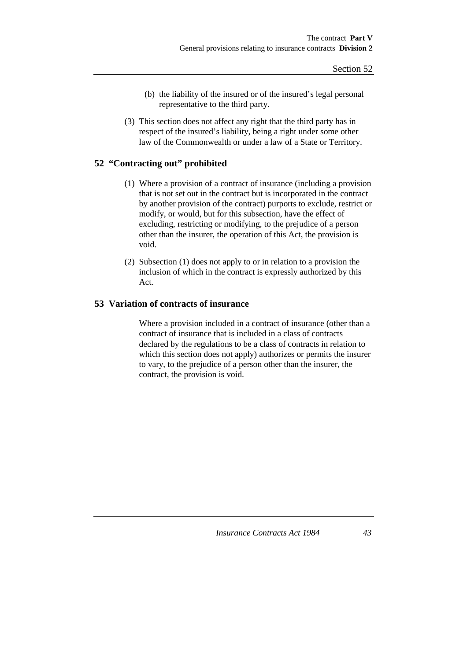- (b) the liability of the insured or of the insured's legal personal representative to the third party.
- (3) This section does not affect any right that the third party has in respect of the insured's liability, being a right under some other law of the Commonwealth or under a law of a State or Territory.

## **52 "Contracting out" prohibited**

- (1) Where a provision of a contract of insurance (including a provision that is not set out in the contract but is incorporated in the contract by another provision of the contract) purports to exclude, restrict or modify, or would, but for this subsection, have the effect of excluding, restricting or modifying, to the prejudice of a person other than the insurer, the operation of this Act, the provision is void.
- (2) Subsection (1) does not apply to or in relation to a provision the inclusion of which in the contract is expressly authorized by this Act.

### **53 Variation of contracts of insurance**

 Where a provision included in a contract of insurance (other than a contract of insurance that is included in a class of contracts declared by the regulations to be a class of contracts in relation to which this section does not apply) authorizes or permits the insurer to vary, to the prejudice of a person other than the insurer, the contract, the provision is void.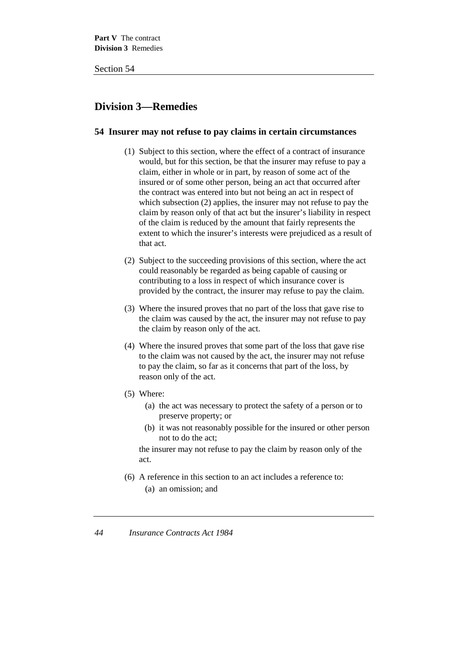## **Division 3—Remedies**

## **54 Insurer may not refuse to pay claims in certain circumstances**

- (1) Subject to this section, where the effect of a contract of insurance would, but for this section, be that the insurer may refuse to pay a claim, either in whole or in part, by reason of some act of the insured or of some other person, being an act that occurred after the contract was entered into but not being an act in respect of which subsection (2) applies, the insurer may not refuse to pay the claim by reason only of that act but the insurer's liability in respect of the claim is reduced by the amount that fairly represents the extent to which the insurer's interests were prejudiced as a result of that act.
- (2) Subject to the succeeding provisions of this section, where the act could reasonably be regarded as being capable of causing or contributing to a loss in respect of which insurance cover is provided by the contract, the insurer may refuse to pay the claim.
- (3) Where the insured proves that no part of the loss that gave rise to the claim was caused by the act, the insurer may not refuse to pay the claim by reason only of the act.
- (4) Where the insured proves that some part of the loss that gave rise to the claim was not caused by the act, the insurer may not refuse to pay the claim, so far as it concerns that part of the loss, by reason only of the act.
- (5) Where:
	- (a) the act was necessary to protect the safety of a person or to preserve property; or
	- (b) it was not reasonably possible for the insured or other person not to do the act;

the insurer may not refuse to pay the claim by reason only of the act.

- (6) A reference in this section to an act includes a reference to:
	- (a) an omission; and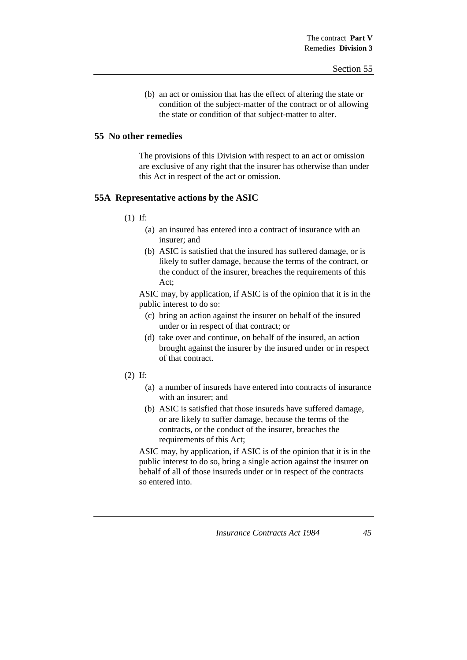(b) an act or omission that has the effect of altering the state or condition of the subject-matter of the contract or of allowing the state or condition of that subject-matter to alter.

## **55 No other remedies**

 The provisions of this Division with respect to an act or omission are exclusive of any right that the insurer has otherwise than under this Act in respect of the act or omission.

## **55A Representative actions by the ASIC**

- (1) If:
	- (a) an insured has entered into a contract of insurance with an insurer; and
	- (b) ASIC is satisfied that the insured has suffered damage, or is likely to suffer damage, because the terms of the contract, or the conduct of the insurer, breaches the requirements of this Act;

ASIC may, by application, if ASIC is of the opinion that it is in the public interest to do so:

- (c) bring an action against the insurer on behalf of the insured under or in respect of that contract; or
- (d) take over and continue, on behalf of the insured, an action brought against the insurer by the insured under or in respect of that contract.
- (2) If:
	- (a) a number of insureds have entered into contracts of insurance with an insurer; and
	- (b) ASIC is satisfied that those insureds have suffered damage, or are likely to suffer damage, because the terms of the contracts, or the conduct of the insurer, breaches the requirements of this Act;

ASIC may, by application, if ASIC is of the opinion that it is in the public interest to do so, bring a single action against the insurer on behalf of all of those insureds under or in respect of the contracts so entered into.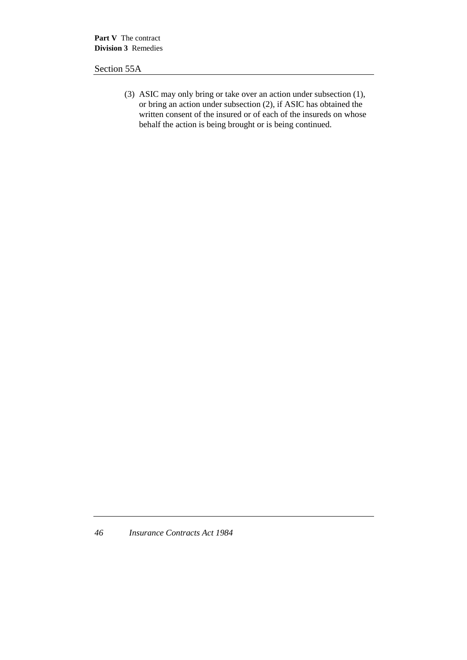**Part V** The contract **Division 3** Remedies

Section 55A

 (3) ASIC may only bring or take over an action under subsection (1), or bring an action under subsection (2), if ASIC has obtained the written consent of the insured or of each of the insureds on whose behalf the action is being brought or is being continued.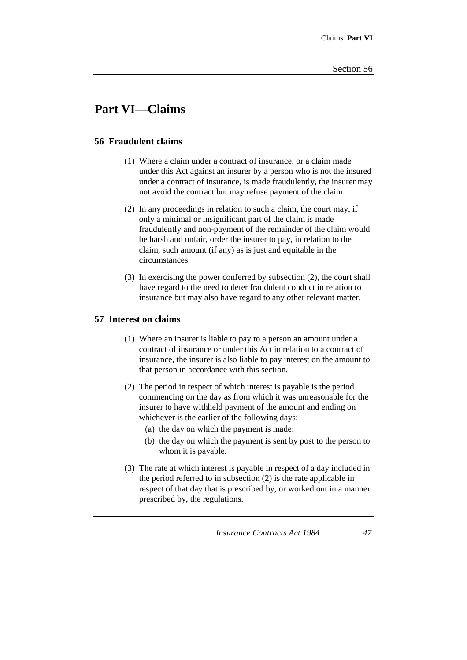# **Part VI—Claims**

## **56 Fraudulent claims**

- (1) Where a claim under a contract of insurance, or a claim made under this Act against an insurer by a person who is not the insured under a contract of insurance, is made fraudulently, the insurer may not avoid the contract but may refuse payment of the claim.
- (2) In any proceedings in relation to such a claim, the court may, if only a minimal or insignificant part of the claim is made fraudulently and non-payment of the remainder of the claim would be harsh and unfair, order the insurer to pay, in relation to the claim, such amount (if any) as is just and equitable in the circumstances.
- (3) In exercising the power conferred by subsection (2), the court shall have regard to the need to deter fraudulent conduct in relation to insurance but may also have regard to any other relevant matter.

### **57 Interest on claims**

- (1) Where an insurer is liable to pay to a person an amount under a contract of insurance or under this Act in relation to a contract of insurance, the insurer is also liable to pay interest on the amount to that person in accordance with this section.
- (2) The period in respect of which interest is payable is the period commencing on the day as from which it was unreasonable for the insurer to have withheld payment of the amount and ending on whichever is the earlier of the following days:
	- (a) the day on which the payment is made;
	- (b) the day on which the payment is sent by post to the person to whom it is payable.
- (3) The rate at which interest is payable in respect of a day included in the period referred to in subsection (2) is the rate applicable in respect of that day that is prescribed by, or worked out in a manner prescribed by, the regulations.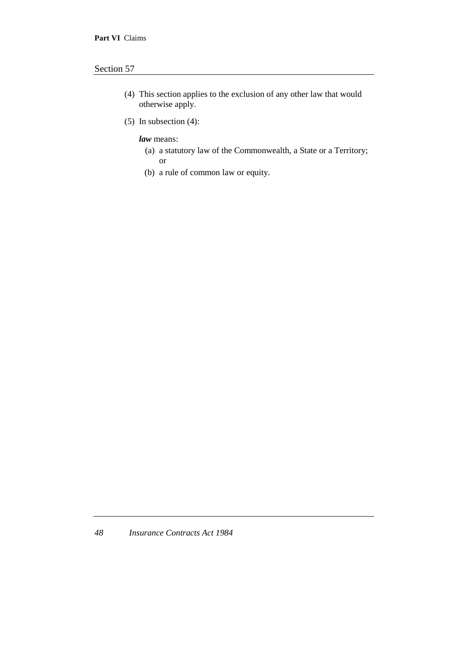- (4) This section applies to the exclusion of any other law that would otherwise apply.
- (5) In subsection (4):

*law* means:

- (a) a statutory law of the Commonwealth, a State or a Territory; or
- (b) a rule of common law or equity.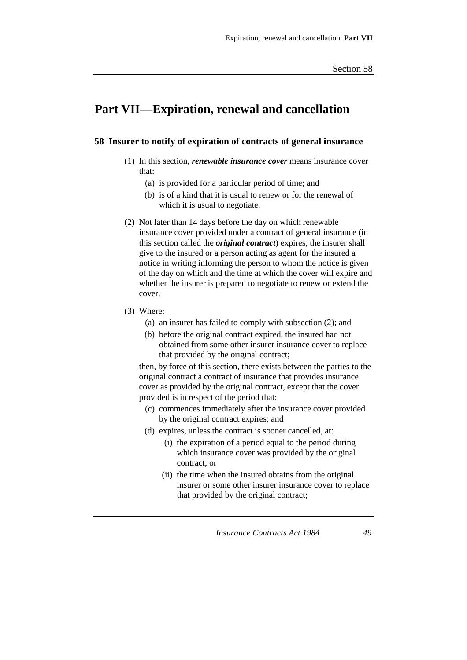## **Part VII—Expiration, renewal and cancellation**

### **58 Insurer to notify of expiration of contracts of general insurance**

- (1) In this section, *renewable insurance cover* means insurance cover that:
	- (a) is provided for a particular period of time; and
	- (b) is of a kind that it is usual to renew or for the renewal of which it is usual to negotiate.
- (2) Not later than 14 days before the day on which renewable insurance cover provided under a contract of general insurance (in this section called the *original contract*) expires, the insurer shall give to the insured or a person acting as agent for the insured a notice in writing informing the person to whom the notice is given of the day on which and the time at which the cover will expire and whether the insurer is prepared to negotiate to renew or extend the cover.
- (3) Where:
	- (a) an insurer has failed to comply with subsection (2); and
	- (b) before the original contract expired, the insured had not obtained from some other insurer insurance cover to replace that provided by the original contract;

then, by force of this section, there exists between the parties to the original contract a contract of insurance that provides insurance cover as provided by the original contract, except that the cover provided is in respect of the period that:

- (c) commences immediately after the insurance cover provided by the original contract expires; and
- (d) expires, unless the contract is sooner cancelled, at:
	- (i) the expiration of a period equal to the period during which insurance cover was provided by the original contract; or
	- (ii) the time when the insured obtains from the original insurer or some other insurer insurance cover to replace that provided by the original contract;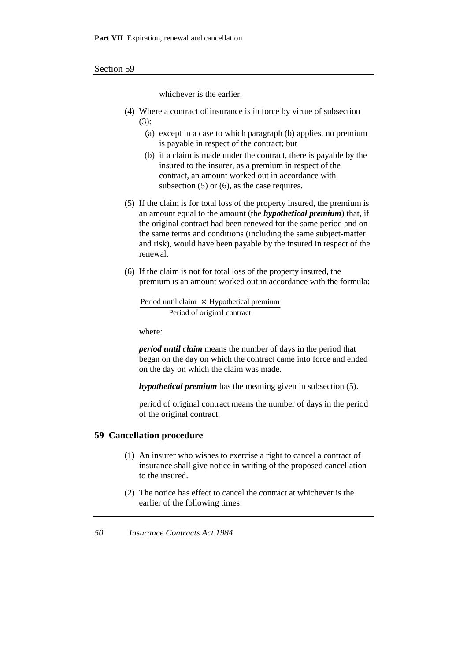whichever is the earlier.

- (4) Where a contract of insurance is in force by virtue of subsection (3):
	- (a) except in a case to which paragraph (b) applies, no premium is payable in respect of the contract; but
	- (b) if a claim is made under the contract, there is payable by the insured to the insurer, as a premium in respect of the contract, an amount worked out in accordance with subsection (5) or (6), as the case requires.
- (5) If the claim is for total loss of the property insured, the premium is an amount equal to the amount (the *hypothetical premium*) that, if the original contract had been renewed for the same period and on the same terms and conditions (including the same subject-matter and risk), would have been payable by the insured in respect of the renewal.
- (6) If the claim is not for total loss of the property insured, the premium is an amount worked out in accordance with the formula:

Period until claim  $\times$  Hypothetical premium Period of original contract

where:

*period until claim* means the number of days in the period that began on the day on which the contract came into force and ended on the day on which the claim was made.

*hypothetical premium* has the meaning given in subsection (5).

period of original contract means the number of days in the period of the original contract.

### **59 Cancellation procedure**

- (1) An insurer who wishes to exercise a right to cancel a contract of insurance shall give notice in writing of the proposed cancellation to the insured.
- (2) The notice has effect to cancel the contract at whichever is the earlier of the following times: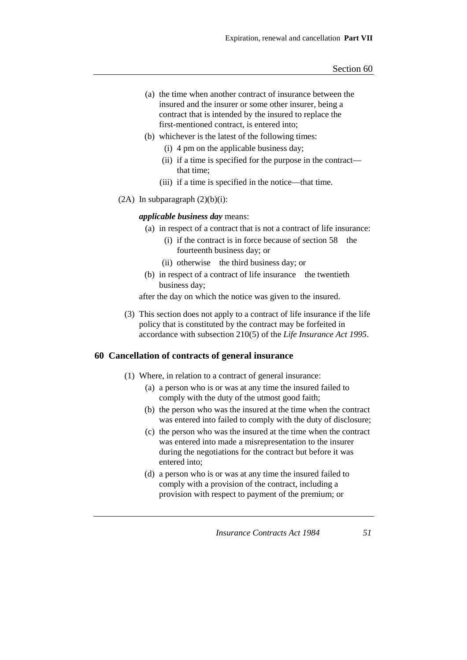- (a) the time when another contract of insurance between the insured and the insurer or some other insurer, being a contract that is intended by the insured to replace the first-mentioned contract, is entered into;
- (b) whichever is the latest of the following times:
	- (i) 4 pm on the applicable business day;
	- (ii) if a time is specified for the purpose in the contract that time;
	- (iii) if a time is specified in the notice—that time.
- (2A) In subparagraph  $(2)(b)(i)$ :

#### *applicable business day* means:

- (a) in respect of a contract that is not a contract of life insurance:
	- (i) if the contract is in force because of section  $58$ —the fourteenth business day; or
	- $(ii)$  otherwise—the third business day; or
- $(b)$  in respect of a contract of life insurance—the twentieth business day;

after the day on which the notice was given to the insured.

 (3) This section does not apply to a contract of life insurance if the life policy that is constituted by the contract may be forfeited in accordance with subsection 210(5) of the *Life Insurance Act 1995*.

### **60 Cancellation of contracts of general insurance**

- (1) Where, in relation to a contract of general insurance:
	- (a) a person who is or was at any time the insured failed to comply with the duty of the utmost good faith;
	- (b) the person who was the insured at the time when the contract was entered into failed to comply with the duty of disclosure;
	- (c) the person who was the insured at the time when the contract was entered into made a misrepresentation to the insurer during the negotiations for the contract but before it was entered into;
	- (d) a person who is or was at any time the insured failed to comply with a provision of the contract, including a provision with respect to payment of the premium; or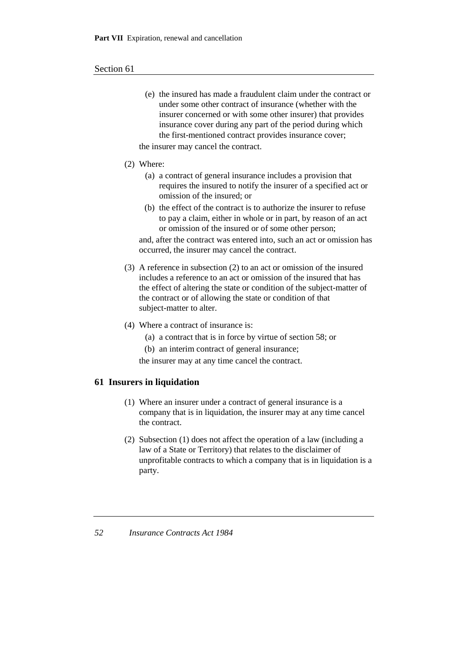(e) the insured has made a fraudulent claim under the contract or under some other contract of insurance (whether with the insurer concerned or with some other insurer) that provides insurance cover during any part of the period during which the first-mentioned contract provides insurance cover;

the insurer may cancel the contract.

- (2) Where:
	- (a) a contract of general insurance includes a provision that requires the insured to notify the insurer of a specified act or omission of the insured; or
	- (b) the effect of the contract is to authorize the insurer to refuse to pay a claim, either in whole or in part, by reason of an act or omission of the insured or of some other person;

and, after the contract was entered into, such an act or omission has occurred, the insurer may cancel the contract.

- (3) A reference in subsection (2) to an act or omission of the insured includes a reference to an act or omission of the insured that has the effect of altering the state or condition of the subject-matter of the contract or of allowing the state or condition of that subject-matter to alter.
- (4) Where a contract of insurance is:
	- (a) a contract that is in force by virtue of section 58; or
	- (b) an interim contract of general insurance;

the insurer may at any time cancel the contract.

## **61 Insurers in liquidation**

- (1) Where an insurer under a contract of general insurance is a company that is in liquidation, the insurer may at any time cancel the contract.
- (2) Subsection (1) does not affect the operation of a law (including a law of a State or Territory) that relates to the disclaimer of unprofitable contracts to which a company that is in liquidation is a party.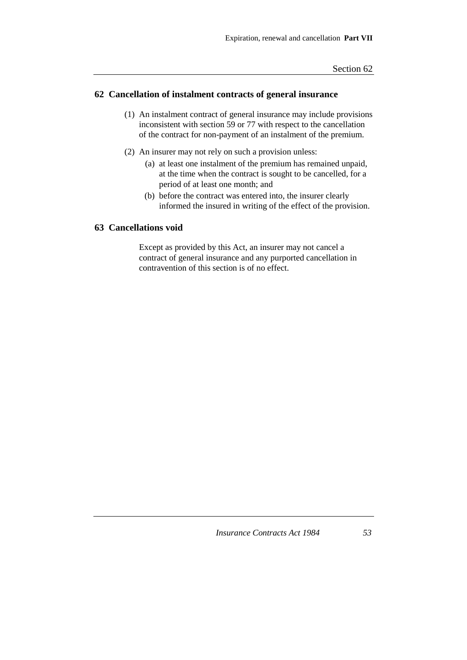## **62 Cancellation of instalment contracts of general insurance**

- (1) An instalment contract of general insurance may include provisions inconsistent with section 59 or 77 with respect to the cancellation of the contract for non-payment of an instalment of the premium.
- (2) An insurer may not rely on such a provision unless:
	- (a) at least one instalment of the premium has remained unpaid, at the time when the contract is sought to be cancelled, for a period of at least one month; and
	- (b) before the contract was entered into, the insurer clearly informed the insured in writing of the effect of the provision.

## **63 Cancellations void**

 Except as provided by this Act, an insurer may not cancel a contract of general insurance and any purported cancellation in contravention of this section is of no effect.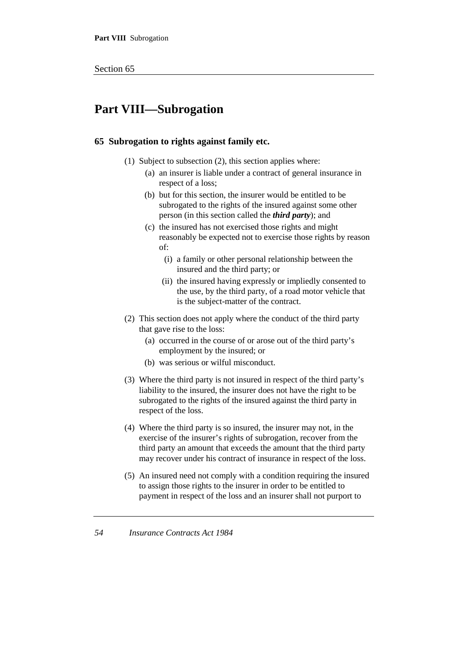# **Part VIII—Subrogation**

## **65 Subrogation to rights against family etc.**

- (1) Subject to subsection (2), this section applies where:
	- (a) an insurer is liable under a contract of general insurance in respect of a loss;
	- (b) but for this section, the insurer would be entitled to be subrogated to the rights of the insured against some other person (in this section called the *third party*); and
	- (c) the insured has not exercised those rights and might reasonably be expected not to exercise those rights by reason of:
		- (i) a family or other personal relationship between the insured and the third party; or
		- (ii) the insured having expressly or impliedly consented to the use, by the third party, of a road motor vehicle that is the subject-matter of the contract.
- (2) This section does not apply where the conduct of the third party that gave rise to the loss:
	- (a) occurred in the course of or arose out of the third party's employment by the insured; or
	- (b) was serious or wilful misconduct.
- (3) Where the third party is not insured in respect of the third party's liability to the insured, the insurer does not have the right to be subrogated to the rights of the insured against the third party in respect of the loss.
- (4) Where the third party is so insured, the insurer may not, in the exercise of the insurer's rights of subrogation, recover from the third party an amount that exceeds the amount that the third party may recover under his contract of insurance in respect of the loss.
- (5) An insured need not comply with a condition requiring the insured to assign those rights to the insurer in order to be entitled to payment in respect of the loss and an insurer shall not purport to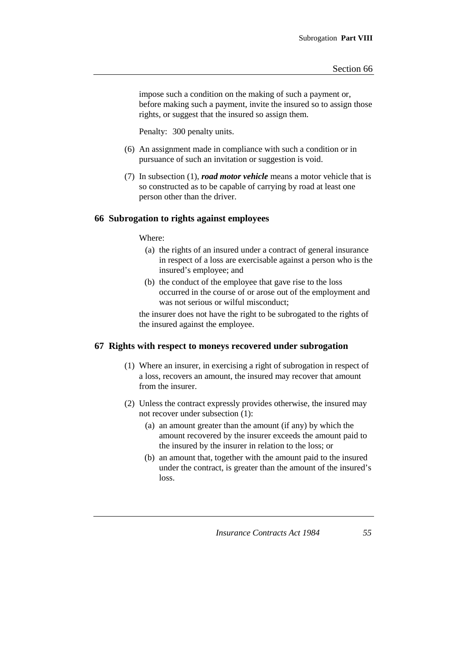impose such a condition on the making of such a payment or, before making such a payment, invite the insured so to assign those rights, or suggest that the insured so assign them.

Penalty: 300 penalty units.

- (6) An assignment made in compliance with such a condition or in pursuance of such an invitation or suggestion is void.
- (7) In subsection (1), *road motor vehicle* means a motor vehicle that is so constructed as to be capable of carrying by road at least one person other than the driver.

### **66 Subrogation to rights against employees**

Where:

- (a) the rights of an insured under a contract of general insurance in respect of a loss are exercisable against a person who is the insured's employee; and
- (b) the conduct of the employee that gave rise to the loss occurred in the course of or arose out of the employment and was not serious or wilful misconduct;

the insurer does not have the right to be subrogated to the rights of the insured against the employee.

#### **67 Rights with respect to moneys recovered under subrogation**

- (1) Where an insurer, in exercising a right of subrogation in respect of a loss, recovers an amount, the insured may recover that amount from the insurer.
- (2) Unless the contract expressly provides otherwise, the insured may not recover under subsection (1):
	- (a) an amount greater than the amount (if any) by which the amount recovered by the insurer exceeds the amount paid to the insured by the insurer in relation to the loss; or
	- (b) an amount that, together with the amount paid to the insured under the contract, is greater than the amount of the insured's loss.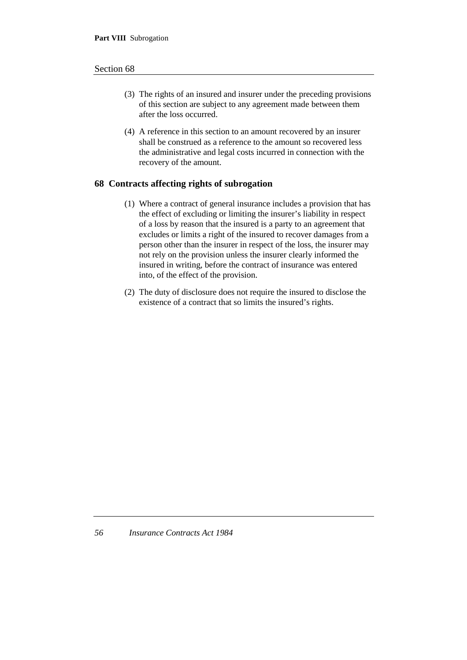- (3) The rights of an insured and insurer under the preceding provisions of this section are subject to any agreement made between them after the loss occurred.
- (4) A reference in this section to an amount recovered by an insurer shall be construed as a reference to the amount so recovered less the administrative and legal costs incurred in connection with the recovery of the amount.

## **68 Contracts affecting rights of subrogation**

- (1) Where a contract of general insurance includes a provision that has the effect of excluding or limiting the insurer's liability in respect of a loss by reason that the insured is a party to an agreement that excludes or limits a right of the insured to recover damages from a person other than the insurer in respect of the loss, the insurer may not rely on the provision unless the insurer clearly informed the insured in writing, before the contract of insurance was entered into, of the effect of the provision.
- (2) The duty of disclosure does not require the insured to disclose the existence of a contract that so limits the insured's rights.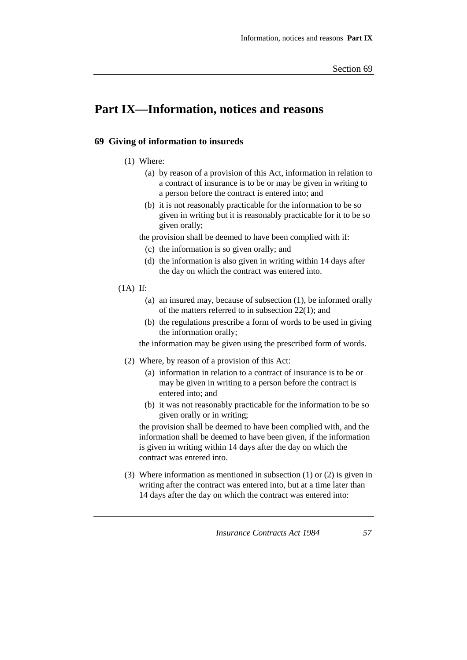# **Part IX—Information, notices and reasons**

### **69 Giving of information to insureds**

- (1) Where:
	- (a) by reason of a provision of this Act, information in relation to a contract of insurance is to be or may be given in writing to a person before the contract is entered into; and
	- (b) it is not reasonably practicable for the information to be so given in writing but it is reasonably practicable for it to be so given orally;

the provision shall be deemed to have been complied with if:

- (c) the information is so given orally; and
- (d) the information is also given in writing within 14 days after the day on which the contract was entered into.
- (1A) If:
	- (a) an insured may, because of subsection (1), be informed orally of the matters referred to in subsection 22(1); and
	- (b) the regulations prescribe a form of words to be used in giving the information orally;

the information may be given using the prescribed form of words.

- (2) Where, by reason of a provision of this Act:
	- (a) information in relation to a contract of insurance is to be or may be given in writing to a person before the contract is entered into; and
	- (b) it was not reasonably practicable for the information to be so given orally or in writing;

the provision shall be deemed to have been complied with, and the information shall be deemed to have been given, if the information is given in writing within 14 days after the day on which the contract was entered into.

 (3) Where information as mentioned in subsection (1) or (2) is given in writing after the contract was entered into, but at a time later than 14 days after the day on which the contract was entered into: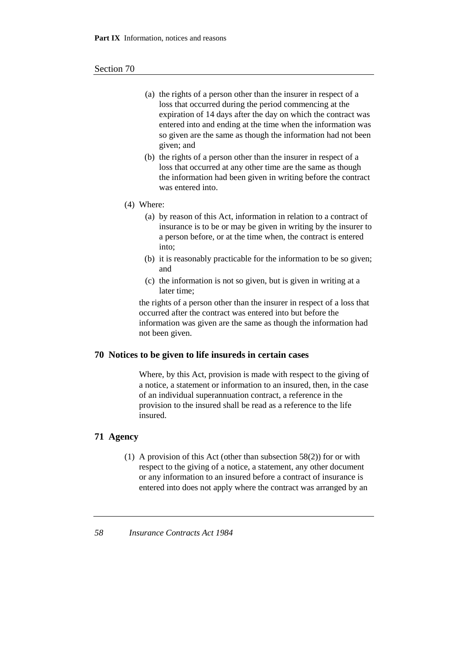- (a) the rights of a person other than the insurer in respect of a loss that occurred during the period commencing at the expiration of 14 days after the day on which the contract was entered into and ending at the time when the information was so given are the same as though the information had not been given; and
- (b) the rights of a person other than the insurer in respect of a loss that occurred at any other time are the same as though the information had been given in writing before the contract was entered into.
- (4) Where:
	- (a) by reason of this Act, information in relation to a contract of insurance is to be or may be given in writing by the insurer to a person before, or at the time when, the contract is entered into;
	- (b) it is reasonably practicable for the information to be so given; and
	- (c) the information is not so given, but is given in writing at a later time;

the rights of a person other than the insurer in respect of a loss that occurred after the contract was entered into but before the information was given are the same as though the information had not been given.

### **70 Notices to be given to life insureds in certain cases**

 Where, by this Act, provision is made with respect to the giving of a notice, a statement or information to an insured, then, in the case of an individual superannuation contract, a reference in the provision to the insured shall be read as a reference to the life insured.

### **71 Agency**

 (1) A provision of this Act (other than subsection 58(2)) for or with respect to the giving of a notice, a statement, any other document or any information to an insured before a contract of insurance is entered into does not apply where the contract was arranged by an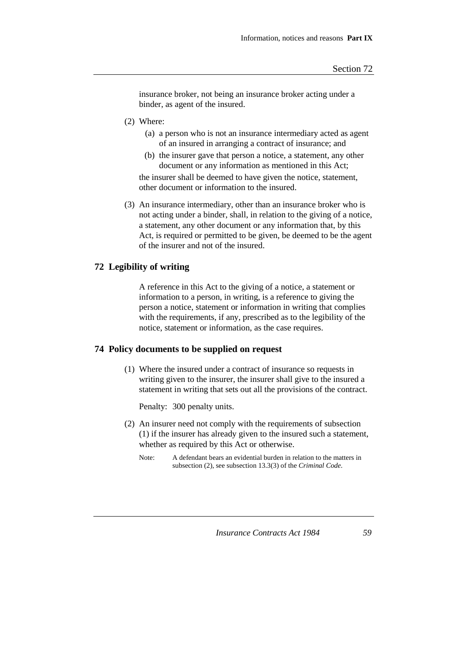insurance broker, not being an insurance broker acting under a binder, as agent of the insured.

- (2) Where:
	- (a) a person who is not an insurance intermediary acted as agent of an insured in arranging a contract of insurance; and
	- (b) the insurer gave that person a notice, a statement, any other document or any information as mentioned in this Act;

the insurer shall be deemed to have given the notice, statement, other document or information to the insured.

 (3) An insurance intermediary, other than an insurance broker who is not acting under a binder, shall, in relation to the giving of a notice, a statement, any other document or any information that, by this Act, is required or permitted to be given, be deemed to be the agent of the insurer and not of the insured.

## **72 Legibility of writing**

 A reference in this Act to the giving of a notice, a statement or information to a person, in writing, is a reference to giving the person a notice, statement or information in writing that complies with the requirements, if any, prescribed as to the legibility of the notice, statement or information, as the case requires.

### **74 Policy documents to be supplied on request**

 (1) Where the insured under a contract of insurance so requests in writing given to the insurer, the insurer shall give to the insured a statement in writing that sets out all the provisions of the contract.

Penalty: 300 penalty units.

- (2) An insurer need not comply with the requirements of subsection (1) if the insurer has already given to the insured such a statement, whether as required by this Act or otherwise.
	- Note: A defendant bears an evidential burden in relation to the matters in subsection (2), see subsection 13.3(3) of the *Criminal Code*.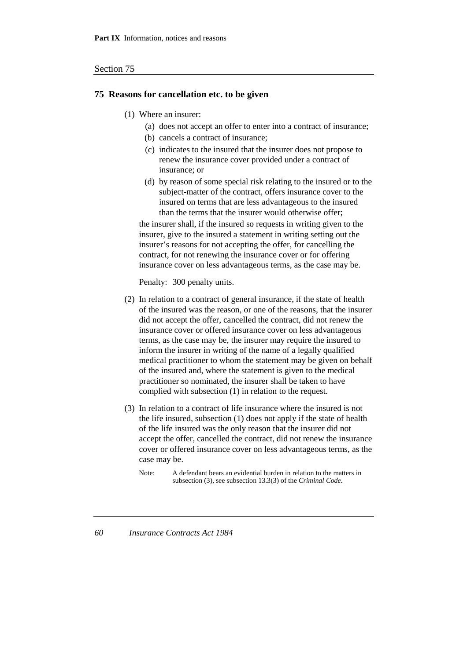#### **75 Reasons for cancellation etc. to be given**

- (1) Where an insurer:
	- (a) does not accept an offer to enter into a contract of insurance;
	- (b) cancels a contract of insurance;
	- (c) indicates to the insured that the insurer does not propose to renew the insurance cover provided under a contract of insurance; or
	- (d) by reason of some special risk relating to the insured or to the subject-matter of the contract, offers insurance cover to the insured on terms that are less advantageous to the insured than the terms that the insurer would otherwise offer;

the insurer shall, if the insured so requests in writing given to the insurer, give to the insured a statement in writing setting out the insurer's reasons for not accepting the offer, for cancelling the contract, for not renewing the insurance cover or for offering insurance cover on less advantageous terms, as the case may be.

Penalty: 300 penalty units.

- (2) In relation to a contract of general insurance, if the state of health of the insured was the reason, or one of the reasons, that the insurer did not accept the offer, cancelled the contract, did not renew the insurance cover or offered insurance cover on less advantageous terms, as the case may be, the insurer may require the insured to inform the insurer in writing of the name of a legally qualified medical practitioner to whom the statement may be given on behalf of the insured and, where the statement is given to the medical practitioner so nominated, the insurer shall be taken to have complied with subsection (1) in relation to the request.
- (3) In relation to a contract of life insurance where the insured is not the life insured, subsection (1) does not apply if the state of health of the life insured was the only reason that the insurer did not accept the offer, cancelled the contract, did not renew the insurance cover or offered insurance cover on less advantageous terms, as the case may be.

Note: A defendant bears an evidential burden in relation to the matters in subsection (3), see subsection 13.3(3) of the *Criminal Code*.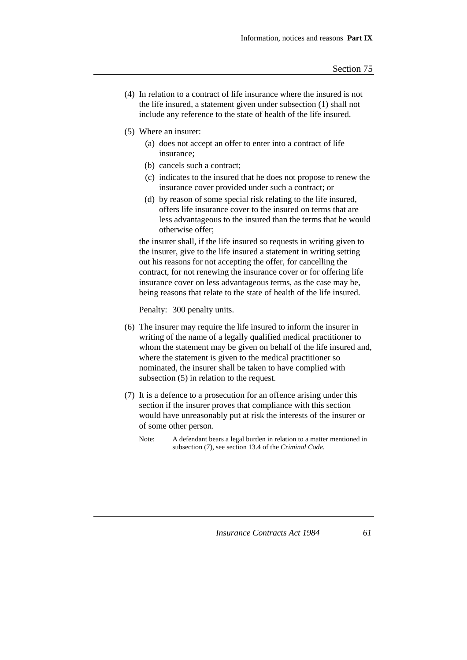- (4) In relation to a contract of life insurance where the insured is not the life insured, a statement given under subsection (1) shall not include any reference to the state of health of the life insured.
- (5) Where an insurer:
	- (a) does not accept an offer to enter into a contract of life insurance;
	- (b) cancels such a contract;
	- (c) indicates to the insured that he does not propose to renew the insurance cover provided under such a contract; or
	- (d) by reason of some special risk relating to the life insured, offers life insurance cover to the insured on terms that are less advantageous to the insured than the terms that he would otherwise offer;

the insurer shall, if the life insured so requests in writing given to the insurer, give to the life insured a statement in writing setting out his reasons for not accepting the offer, for cancelling the contract, for not renewing the insurance cover or for offering life insurance cover on less advantageous terms, as the case may be, being reasons that relate to the state of health of the life insured.

Penalty: 300 penalty units.

- (6) The insurer may require the life insured to inform the insurer in writing of the name of a legally qualified medical practitioner to whom the statement may be given on behalf of the life insured and, where the statement is given to the medical practitioner so nominated, the insurer shall be taken to have complied with subsection (5) in relation to the request.
- (7) It is a defence to a prosecution for an offence arising under this section if the insurer proves that compliance with this section would have unreasonably put at risk the interests of the insurer or of some other person.
	- Note: A defendant bears a legal burden in relation to a matter mentioned in subsection (7), see section 13.4 of the *Criminal Code*.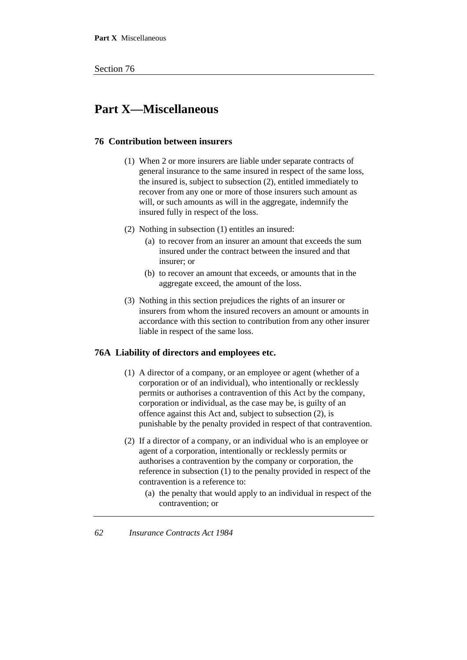# **Part X—Miscellaneous**

## **76 Contribution between insurers**

- (1) When 2 or more insurers are liable under separate contracts of general insurance to the same insured in respect of the same loss, the insured is, subject to subsection (2), entitled immediately to recover from any one or more of those insurers such amount as will, or such amounts as will in the aggregate, indemnify the insured fully in respect of the loss.
- (2) Nothing in subsection (1) entitles an insured:
	- (a) to recover from an insurer an amount that exceeds the sum insured under the contract between the insured and that insurer; or
	- (b) to recover an amount that exceeds, or amounts that in the aggregate exceed, the amount of the loss.
- (3) Nothing in this section prejudices the rights of an insurer or insurers from whom the insured recovers an amount or amounts in accordance with this section to contribution from any other insurer liable in respect of the same loss.

### **76A Liability of directors and employees etc.**

- (1) A director of a company, or an employee or agent (whether of a corporation or of an individual), who intentionally or recklessly permits or authorises a contravention of this Act by the company, corporation or individual, as the case may be, is guilty of an offence against this Act and, subject to subsection (2), is punishable by the penalty provided in respect of that contravention.
- (2) If a director of a company, or an individual who is an employee or agent of a corporation, intentionally or recklessly permits or authorises a contravention by the company or corporation, the reference in subsection (1) to the penalty provided in respect of the contravention is a reference to:
	- (a) the penalty that would apply to an individual in respect of the contravention; or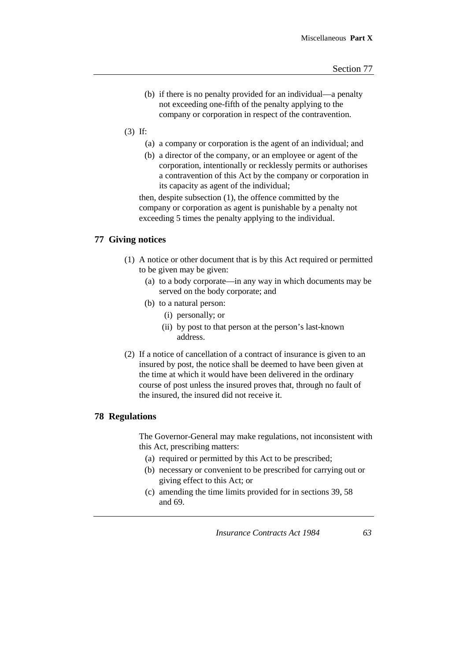- (b) if there is no penalty provided for an individual—a penalty not exceeding one-fifth of the penalty applying to the company or corporation in respect of the contravention.
- (3) If:
	- (a) a company or corporation is the agent of an individual; and
	- (b) a director of the company, or an employee or agent of the corporation, intentionally or recklessly permits or authorises a contravention of this Act by the company or corporation in its capacity as agent of the individual;

then, despite subsection (1), the offence committed by the company or corporation as agent is punishable by a penalty not exceeding 5 times the penalty applying to the individual.

### **77 Giving notices**

- (1) A notice or other document that is by this Act required or permitted to be given may be given:
	- (a) to a body corporate—in any way in which documents may be served on the body corporate; and
	- (b) to a natural person:
		- (i) personally; or
		- (ii) by post to that person at the person's last-known address.
- (2) If a notice of cancellation of a contract of insurance is given to an insured by post, the notice shall be deemed to have been given at the time at which it would have been delivered in the ordinary course of post unless the insured proves that, through no fault of the insured, the insured did not receive it.

### **78 Regulations**

 The Governor-General may make regulations, not inconsistent with this Act, prescribing matters:

- (a) required or permitted by this Act to be prescribed;
- (b) necessary or convenient to be prescribed for carrying out or giving effect to this Act; or
- (c) amending the time limits provided for in sections 39, 58 and 69.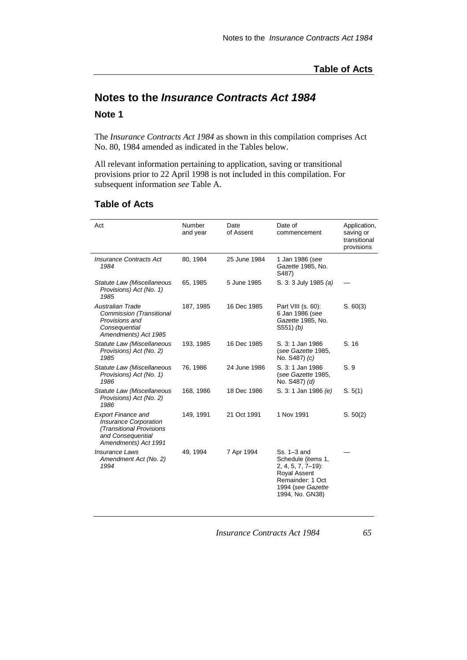# **Notes to the Insurance Contracts Act 1984 Note 1**

The *Insurance Contracts Act 1984* as shown in this compilation comprises Act No. 80, 1984 amended as indicated in the Tables below.

All relevant information pertaining to application, saving or transitional provisions prior to 22 April 1998 is not included in this compilation. For subsequent information *see* Table A.

## **Table of Acts**

| Act                                                                                                                                | Number<br>and year | Date<br>of Assent | Date of<br>commencement                                                                                                                          | Application,<br>saving or<br>transitional<br>provisions |
|------------------------------------------------------------------------------------------------------------------------------------|--------------------|-------------------|--------------------------------------------------------------------------------------------------------------------------------------------------|---------------------------------------------------------|
| <b>Insurance Contracts Act</b><br>1984                                                                                             | 80, 1984           | 25 June 1984      | 1 Jan 1986 (see<br>Gazette 1985, No.<br>S487)                                                                                                    |                                                         |
| Statute Law (Miscellaneous<br>Provisions) Act (No. 1)<br>1985                                                                      | 65, 1985           | 5 June 1985       | S. 3: 3 July 1985 (a)                                                                                                                            |                                                         |
| <b>Australian Trade</b><br>Commission (Transitional<br>Provisions and<br>Consequential<br>Amendments) Act 1985                     | 187, 1985          | 16 Dec 1985       | Part VIII (s. 60):<br>6 Jan 1986 (see<br>Gazette 1985, No.<br>$S551)$ (b)                                                                        | S. 60(3)                                                |
| Statute Law (Miscellaneous<br>Provisions) Act (No. 2)<br>1985                                                                      | 193, 1985          | 16 Dec 1985       | S. 3: 1 Jan 1986<br>(see Gazette 1985,<br>No. S487) (c)                                                                                          | S. 16                                                   |
| Statute Law (Miscellaneous<br>Provisions) Act (No. 1)<br>1986                                                                      | 76, 1986           | 24 June 1986      | S. 3: 1 Jan 1986<br>(see Gazette 1985,<br>No. S487) (d)                                                                                          | S.9                                                     |
| Statute Law (Miscellaneous<br>Provisions) Act (No. 2)<br>1986                                                                      | 168, 1986          | 18 Dec 1986       | S. 3: 1 Jan 1986 (e)                                                                                                                             | S. 5(1)                                                 |
| <b>Export Finance and</b><br><b>Insurance Corporation</b><br>(Transitional Provisions<br>and Consequential<br>Amendments) Act 1991 | 149, 1991          | 21 Oct 1991       | 1 Nov 1991                                                                                                                                       | S. 50(2)                                                |
| Insurance Laws<br>Amendment Act (No. 2)<br>1994                                                                                    | 49, 1994           | 7 Apr 1994        | $Ss. 1-3$ and<br>Schedule (items 1,<br>$2, 4, 5, 7, 7 - 19$ :<br><b>Royal Assent</b><br>Remainder: 1 Oct<br>1994 (see Gazette<br>1994, No. GN38) |                                                         |

*Insurance Contracts Act 1984 65*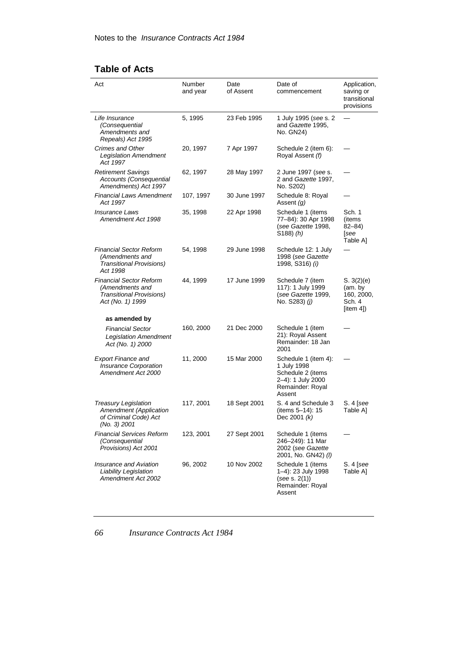## **Table of Acts**

| Act                                                                                                      | Number<br>and year | Date<br>of Assent | Date of<br>commencement                                                                                     | Application,<br>saving or<br>transitional<br>provisions   |
|----------------------------------------------------------------------------------------------------------|--------------------|-------------------|-------------------------------------------------------------------------------------------------------------|-----------------------------------------------------------|
| Life Insurance<br>(Consequential<br>Amendments and<br>Repeals) Act 1995                                  | 5, 1995            | 23 Feb 1995       | 1 July 1995 (see s. 2<br>and Gazette 1995.<br>No. GN24)                                                     |                                                           |
| Crimes and Other<br><b>Legislation Amendment</b><br>Act 1997                                             | 20, 1997           | 7 Apr 1997        | Schedule 2 (item 6):<br>Royal Assent (f)                                                                    |                                                           |
| <b>Retirement Savings</b><br>Accounts (Consequential<br>Amendments) Act 1997                             | 62, 1997           | 28 May 1997       | 2 June 1997 (see s.<br>2 and Gazette 1997,<br>No. S202)                                                     |                                                           |
| <b>Financial Laws Amendment</b><br>Act 1997                                                              | 107, 1997          | 30 June 1997      | Schedule 8: Royal<br>Assent (g)                                                                             |                                                           |
| <i><b>Insurance Laws</b></i><br>Amendment Act 1998                                                       | 35, 1998           | 22 Apr 1998       | Schedule 1 (items<br>77-84): 30 Apr 1998<br>(see Gazette 1998,<br>$S188)$ (h)                               | Sch. 1<br>(items<br>$82 - 84$<br>[see<br>Table A]         |
| <b>Financial Sector Reform</b><br>(Amendments and<br>Transitional Provisions)<br>Act 1998                | 54, 1998           | 29 June 1998      | Schedule 12: 1 July<br>1998 (see Gazette<br>1998, S316) (i)                                                 |                                                           |
| <b>Financial Sector Reform</b><br>(Amendments and<br><b>Transitional Provisions)</b><br>Act (No. 1) 1999 | 44, 1999           | 17 June 1999      | Schedule 7 (item<br>117): 1 July 1999<br>(see Gazette 1999,<br>No. S283) (i)                                | S. 3(2)(e)<br>(am. by<br>160, 2000,<br>Sch. 4<br>[item 4] |
| as amended by                                                                                            |                    |                   |                                                                                                             |                                                           |
| <b>Financial Sector</b><br><b>Legislation Amendment</b><br>Act (No. 1) 2000                              | 160, 2000          | 21 Dec 2000       | Schedule 1 (item<br>21): Royal Assent<br>Remainder: 18 Jan<br>2001                                          |                                                           |
| <b>Export Finance and</b><br><b>Insurance Corporation</b><br>Amendment Act 2000                          | 11, 2000           | 15 Mar 2000       | Schedule 1 (item 4):<br>1 July 1998<br>Schedule 2 (items<br>2-4): 1 July 2000<br>Remainder: Royal<br>Assent |                                                           |
| <b>Treasury Legislation</b><br><b>Amendment (Application</b><br>of Criminal Code) Act<br>(No. 3) 2001    | 117, 2001          | 18 Sept 2001      | S. 4 and Schedule 3<br>(items 5-14): 15<br>Dec 2001 $(k)$                                                   | S. 4 [see<br>Table A]                                     |
| <b>Financial Services Reform</b><br>(Consequential<br>Provisions) Act 2001                               | 123, 2001          | 27 Sept 2001      | Schedule 1 (items<br>246-249): 11 Mar<br>2002 (see Gazette<br>2001, No. GN42) (I)                           |                                                           |
| Insurance and Aviation<br>Liability Legislation<br>Amendment Act 2002                                    | 96, 2002           | 10 Nov 2002       | Schedule 1 (items<br>1-4): 23 July 1998<br>(see s. 2(1))<br>Remainder: Royal<br>Assent                      | S. 4 [see<br>Table A]                                     |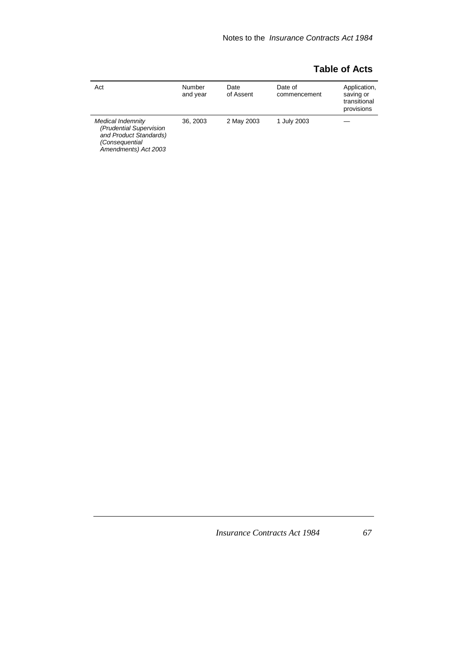## **Table of Acts**

| Act                                                                                                                     | Number<br>and year | Date<br>of Assent | Date of<br>commencement | Application,<br>saving or<br>transitional<br>provisions |
|-------------------------------------------------------------------------------------------------------------------------|--------------------|-------------------|-------------------------|---------------------------------------------------------|
| <b>Medical Indemnity</b><br>(Prudential Supervision<br>and Product Standards)<br>(Consequential<br>Amendments) Act 2003 | 36, 2003           | 2 May 2003        | 1 July 2003             |                                                         |

*Insurance Contracts Act 1984 67*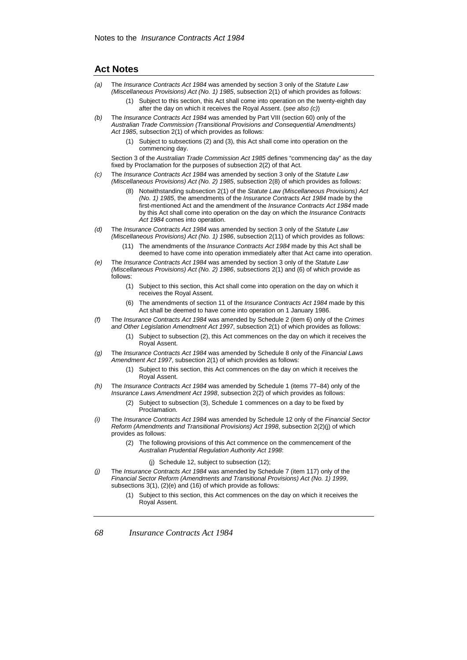#### **Act Notes**

- (a) The Insurance Contracts Act 1984 was amended by section 3 only of the Statute Law (Miscellaneous Provisions) Act (No. 1) 1985, subsection 2(1) of which provides as follows:
	- Subject to this section, this Act shall come into operation on the twenty-eighth day after the day on which it receives the Royal Assent. (see also (c))
- (b) The Insurance Contracts Act 1984 was amended by Part VIII (section 60) only of the Australian Trade Commission (Transitional Provisions and Consequential Amendments) Act 1985, subsection 2(1) of which provides as follows:
	- (1) Subject to subsections (2) and (3), this Act shall come into operation on the commencing day.

 Section 3 of the Australian Trade Commission Act 1985 defines "commencing day" as the day fixed by Proclamation for the purposes of subsection 2(2) of that Act.

- (c) The Insurance Contracts Act 1984 was amended by section 3 only of the Statute Law (Miscellaneous Provisions) Act (No. 2) 1985, subsection 2(8) of which provides as follows:
	- (8) Notwithstanding subsection 2(1) of the Statute Law (Miscellaneous Provisions) Act (No. 1) 1985, the amendments of the Insurance Contracts Act 1984 made by the first-mentioned Act and the amendment of the Insurance Contracts Act 1984 made by this Act shall come into operation on the day on which the Insurance Contracts Act 1984 comes into operation.
- (d) The Insurance Contracts Act 1984 was amended by section 3 only of the Statute Law (Miscellaneous Provisions) Act (No. 1) 1986, subsection 2(11) of which provides as follows:
	- (11) The amendments of the Insurance Contracts Act 1984 made by this Act shall be deemed to have come into operation immediately after that Act came into operation.
- (e) The Insurance Contracts Act 1984 was amended by section 3 only of the Statute Law (Miscellaneous Provisions) Act (No. 2) 1986, subsections 2(1) and (6) of which provide as follows:
	- (1) Subject to this section, this Act shall come into operation on the day on which it receives the Royal Assent.
	- (6) The amendments of section 11 of the Insurance Contracts Act 1984 made by this Act shall be deemed to have come into operation on 1 January 1986.
- (f) The Insurance Contracts Act 1984 was amended by Schedule 2 (item 6) only of the Crimes and Other Legislation Amendment Act 1997, subsection 2(1) of which provides as follows:
	- (1) Subject to subsection (2), this Act commences on the day on which it receives the Royal Assent.
- (g) The Insurance Contracts Act 1984 was amended by Schedule 8 only of the Financial Laws Amendment Act 1997, subsection 2(1) of which provides as follows:
	- (1) Subject to this section, this Act commences on the day on which it receives the Royal Assent.
- (h) The Insurance Contracts Act 1984 was amended by Schedule 1 (items 77–84) only of the Insurance Laws Amendment Act 1998, subsection 2(2) of which provides as follows:
	- (2) Subject to subsection (3), Schedule 1 commences on a day to be fixed by Proclamation.
- (i) The Insurance Contracts Act 1984 was amended by Schedule 12 only of the Financial Sector Reform (Amendments and Transitional Provisions) Act 1998, subsection 2(2)(j) of which provides as follows:
	- (2) The following provisions of this Act commence on the commencement of the Australian Prudential Regulation Authority Act 1998:

#### (j) Schedule 12, subject to subsection (12);

- (j) The Insurance Contracts Act 1984 was amended by Schedule 7 (item 117) only of the Financial Sector Reform (Amendments and Transitional Provisions) Act (No. 1) 1999, subsections 3(1), (2)(e) and (16) of which provide as follows:
	- (1) Subject to this section, this Act commences on the day on which it receives the Royal Assent.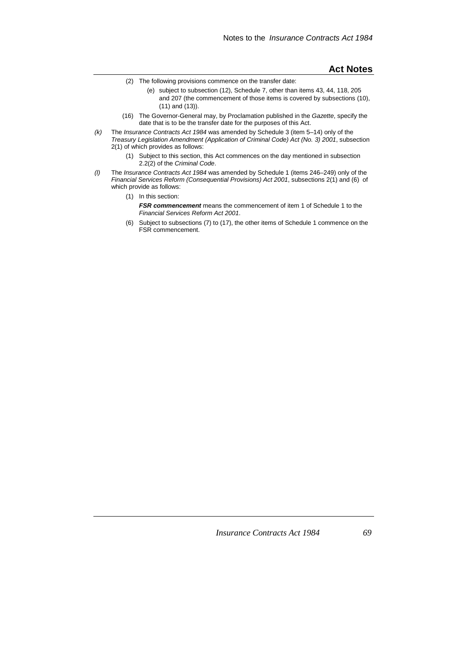#### **Act Notes**

- (2) The following provisions commence on the transfer date:
	- (e) subject to subsection (12), Schedule 7, other than items 43, 44, 118, 205 and 207 (the commencement of those items is covered by subsections (10), (11) and (13)).
- (16) The Governor-General may, by Proclamation published in the Gazette, specify the date that is to be the transfer date for the purposes of this Act.
- (k) The Insurance Contracts Act 1984 was amended by Schedule 3 (item 5–14) only of the Treasury Legislation Amendment (Application of Criminal Code) Act (No. 3) 2001, subsection 2(1) of which provides as follows:
	- (1) Subject to this section, this Act commences on the day mentioned in subsection 2.2(2) of the Criminal Code.
- (l) The Insurance Contracts Act 1984 was amended by Schedule 1 (items 246–249) only of the Financial Services Reform (Consequential Provisions) Act 2001, subsections 2(1) and (6) of which provide as follows:
	- (1) In this section:

 **FSR commencement** means the commencement of item 1 of Schedule 1 to the Financial Services Reform Act 2001.

 (6) Subject to subsections (7) to (17), the other items of Schedule 1 commence on the FSR commencement.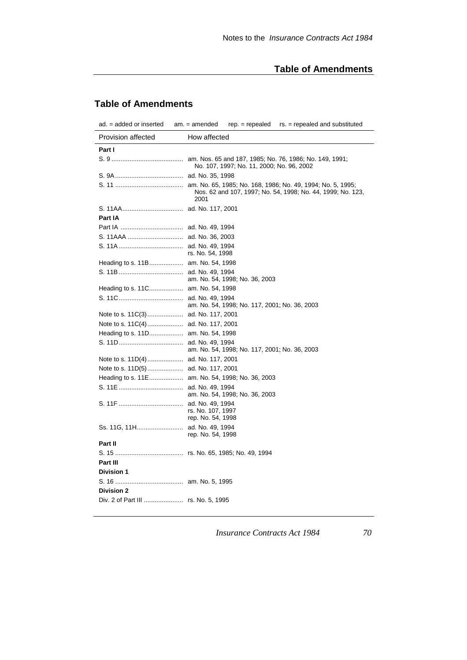# **Table of Amendments**

## **Table of Amendments**

| ad. = added or inserted             | rs. = repealed and substituted<br>$am = amended$<br>$rep. = rep.$   |
|-------------------------------------|---------------------------------------------------------------------|
| Provision affected                  | How affected                                                        |
| Part I                              |                                                                     |
|                                     | No. 107, 1997; No. 11, 2000; No. 96, 2002                           |
|                                     |                                                                     |
|                                     | Nos. 62 and 107, 1997; No. 54, 1998; No. 44, 1999; No. 123,<br>2001 |
| Part IA                             |                                                                     |
|                                     |                                                                     |
|                                     |                                                                     |
|                                     | rs. No. 54, 1998                                                    |
|                                     |                                                                     |
|                                     | am. No. 54, 1998; No. 36, 2003                                      |
|                                     |                                                                     |
|                                     | ad. No. 49, 1994<br>am. No. 54, 1998; No. 117, 2001; No. 36, 2003   |
|                                     |                                                                     |
|                                     |                                                                     |
| Heading to s. 11D am. No. 54, 1998  |                                                                     |
|                                     | am. No. 54, 1998; No. 117, 2001; No. 36, 2003                       |
|                                     |                                                                     |
|                                     |                                                                     |
|                                     | Heading to s. 11E am. No. 54, 1998; No. 36, 2003                    |
|                                     | ad. No. 49, 1994<br>am. No. 54, 1998; No. 36, 2003                  |
|                                     | rs. No. 107, 1997<br>rep. No. 54, 1998                              |
|                                     | rep. No. 54, 1998                                                   |
| Part II                             |                                                                     |
|                                     |                                                                     |
| Part III                            |                                                                     |
| Division 1                          |                                                                     |
|                                     |                                                                     |
| <b>Division 2</b>                   |                                                                     |
| Div. 2 of Part III  rs. No. 5, 1995 |                                                                     |

*Insurance Contracts Act 1984 70*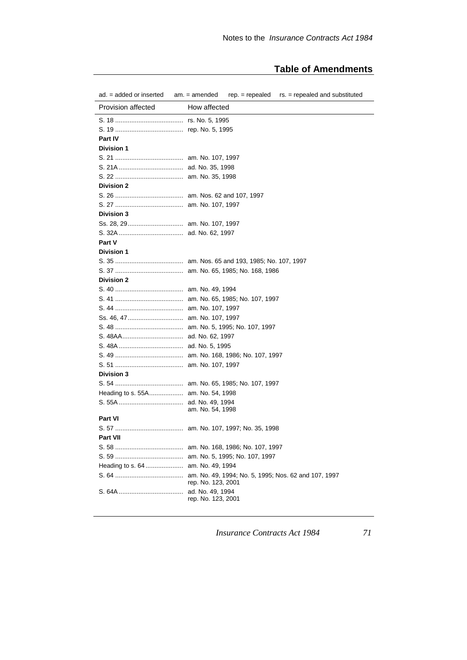## **Table of Amendments**

| ad. = added or inserted | $rep. = rep.$<br>$rs. = repeated$ and substituted<br>$am. = amended$ |
|-------------------------|----------------------------------------------------------------------|
| Provision affected      | How affected                                                         |
|                         |                                                                      |
|                         |                                                                      |
| Part IV                 |                                                                      |
| <b>Division 1</b>       |                                                                      |
|                         |                                                                      |
|                         |                                                                      |
|                         |                                                                      |
| <b>Division 2</b>       |                                                                      |
|                         |                                                                      |
|                         |                                                                      |
| <b>Division 3</b>       |                                                                      |
|                         |                                                                      |
|                         |                                                                      |
| Part V                  |                                                                      |
| <b>Division 1</b>       |                                                                      |
|                         |                                                                      |
|                         |                                                                      |
| <b>Division 2</b>       |                                                                      |
|                         |                                                                      |
|                         |                                                                      |
|                         |                                                                      |
|                         |                                                                      |
|                         |                                                                      |
|                         |                                                                      |
|                         |                                                                      |
|                         |                                                                      |
|                         |                                                                      |
| <b>Division 3</b>       |                                                                      |
|                         |                                                                      |
|                         |                                                                      |
|                         | am. No. 54, 1998                                                     |
| <b>Part VI</b>          |                                                                      |
|                         |                                                                      |
| <b>Part VII</b>         |                                                                      |
|                         | am. No. 168, 1986; No. 107, 1997                                     |
|                         | am. No. 5, 1995; No. 107, 1997                                       |
| Heading to s. 64        | am. No. 49, 1994                                                     |
|                         | am. No. 49, 1994; No. 5, 1995; Nos. 62 and 107, 1997                 |
|                         | rep. No. 123, 2001<br>ad. No. 49, 1994                               |
|                         | rep. No. 123, 2001                                                   |
|                         |                                                                      |

*Insurance Contracts Act 1984 71*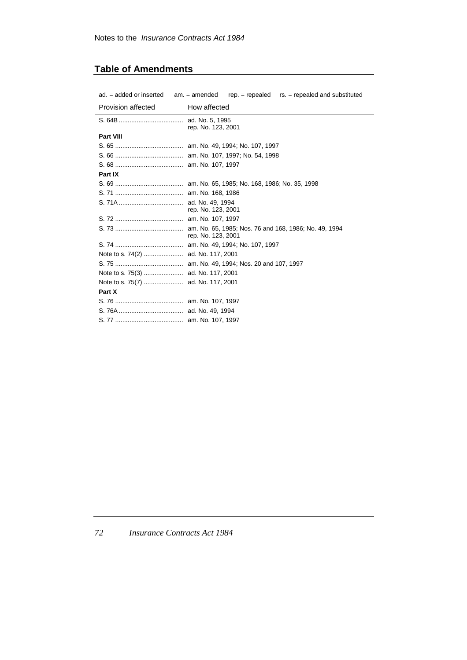## **Table of Amendments**

| $ad. = added$ or inserted | $rs = repcaled$ and substituted<br>$am. = amended$<br>$rep. = rep.$ |  |  |
|---------------------------|---------------------------------------------------------------------|--|--|
| Provision affected        | How affected                                                        |  |  |
|                           | rep. No. 123, 2001                                                  |  |  |
| <b>Part VIII</b>          |                                                                     |  |  |
|                           |                                                                     |  |  |
|                           |                                                                     |  |  |
|                           |                                                                     |  |  |
| Part IX                   |                                                                     |  |  |
|                           |                                                                     |  |  |
|                           |                                                                     |  |  |
|                           | rep. No. 123, 2001                                                  |  |  |
|                           |                                                                     |  |  |
|                           | rep. No. 123, 2001                                                  |  |  |
|                           |                                                                     |  |  |
|                           |                                                                     |  |  |
|                           |                                                                     |  |  |
|                           |                                                                     |  |  |
|                           |                                                                     |  |  |
| Part X                    |                                                                     |  |  |
|                           |                                                                     |  |  |
|                           |                                                                     |  |  |
|                           |                                                                     |  |  |

<u> 1990 - Johann Barbara, martxa a</u>

*72 Insurance Contracts Act 1984*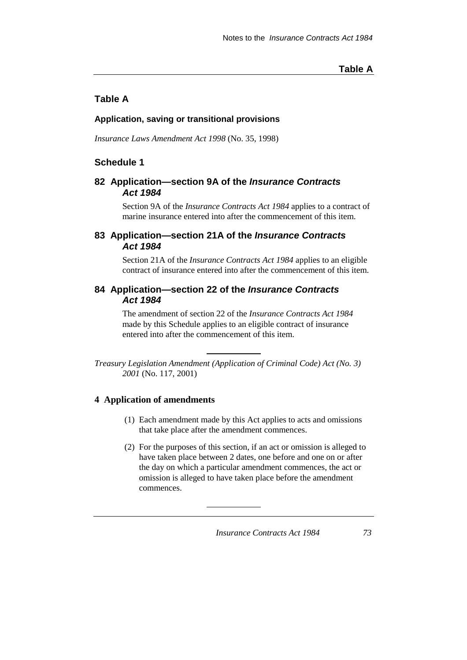#### **Table A**

## **Table A**

## **Application, saving or transitional provisions**

*Insurance Laws Amendment Act 1998* (No. 35, 1998)

### **Schedule 1**

#### **82 Application—section 9A of the Insurance Contracts Act 1984**

Section 9A of the *Insurance Contracts Act 1984* applies to a contract of marine insurance entered into after the commencement of this item.

### **83 Application—section 21A of the Insurance Contracts Act 1984**

Section 21A of the *Insurance Contracts Act 1984* applies to an eligible contract of insurance entered into after the commencement of this item.

#### **84 Application—section 22 of the Insurance Contracts Act 1984**

The amendment of section 22 of the *Insurance Contracts Act 1984* made by this Schedule applies to an eligible contract of insurance entered into after the commencement of this item.

## **4 Application of amendments**

- (1) Each amendment made by this Act applies to acts and omissions that take place after the amendment commences.
- (2) For the purposes of this section, if an act or omission is alleged to have taken place between 2 dates, one before and one on or after the day on which a particular amendment commences, the act or omission is alleged to have taken place before the amendment commences.

*Treasury Legislation Amendment (Application of Criminal Code) Act (No. 3) 2001* (No. 117, 2001)